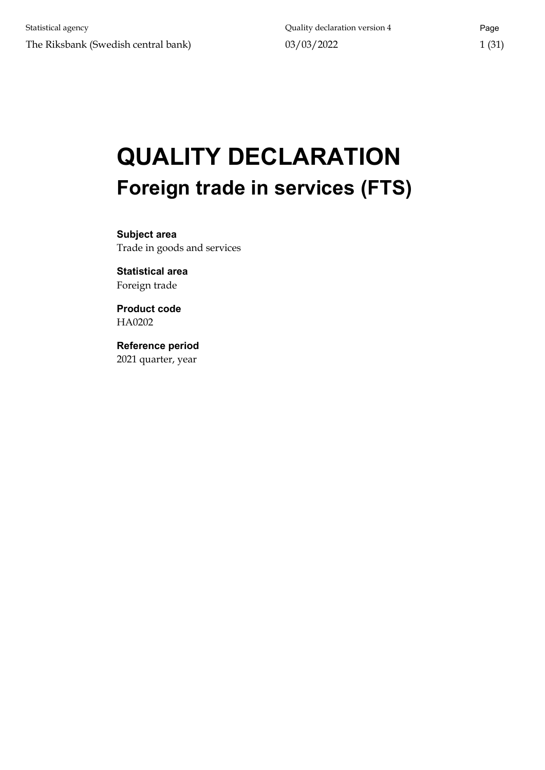# **QUALITY DECLARATION Foreign trade in services (FTS)**

**Subject area** Trade in goods and services

**Statistical area** Foreign trade

**Product code** HA0202

**Reference period** 2021 quarter, year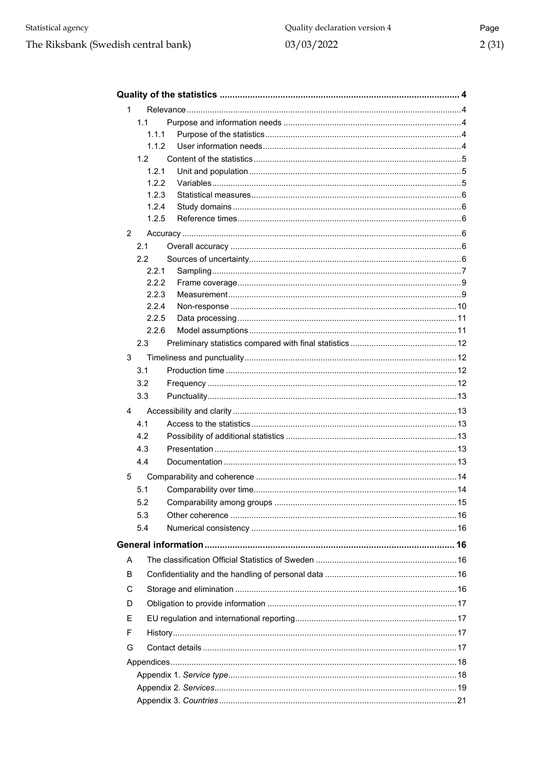| $\mathbf 1$    |                  |  |  |  |  |  |
|----------------|------------------|--|--|--|--|--|
|                | 1.1              |  |  |  |  |  |
|                | 1.1.1            |  |  |  |  |  |
|                | 1.1.2            |  |  |  |  |  |
|                | 1.2 <sub>1</sub> |  |  |  |  |  |
|                | 1.2.1            |  |  |  |  |  |
|                | 1.2.2            |  |  |  |  |  |
|                | 1.2.3            |  |  |  |  |  |
|                | 1.2.4            |  |  |  |  |  |
|                | 1.2.5            |  |  |  |  |  |
| $\overline{2}$ |                  |  |  |  |  |  |
|                | 2.1              |  |  |  |  |  |
|                | 2.2              |  |  |  |  |  |
|                | 2.2.1            |  |  |  |  |  |
|                | 2.2.2            |  |  |  |  |  |
|                | 2.2.3            |  |  |  |  |  |
|                | 2.2.4            |  |  |  |  |  |
|                | 2.2.5            |  |  |  |  |  |
|                | 2.2.6            |  |  |  |  |  |
|                | 2.3              |  |  |  |  |  |
| 3              |                  |  |  |  |  |  |
|                | 3.1              |  |  |  |  |  |
|                | 3.2              |  |  |  |  |  |
|                | 3.3              |  |  |  |  |  |
| 4              |                  |  |  |  |  |  |
|                | 4.1              |  |  |  |  |  |
|                | 4.2              |  |  |  |  |  |
|                | 4.3              |  |  |  |  |  |
|                | 4.4              |  |  |  |  |  |
| 5              |                  |  |  |  |  |  |
|                | 5.1              |  |  |  |  |  |
|                | 5.2              |  |  |  |  |  |
|                | 5.3              |  |  |  |  |  |
|                |                  |  |  |  |  |  |
|                | 5.4              |  |  |  |  |  |
|                |                  |  |  |  |  |  |
| A              |                  |  |  |  |  |  |
| B              |                  |  |  |  |  |  |
| C              |                  |  |  |  |  |  |
| D              |                  |  |  |  |  |  |
| Е              |                  |  |  |  |  |  |
| F              |                  |  |  |  |  |  |
| G              |                  |  |  |  |  |  |
|                |                  |  |  |  |  |  |
|                |                  |  |  |  |  |  |
|                |                  |  |  |  |  |  |
|                |                  |  |  |  |  |  |
|                |                  |  |  |  |  |  |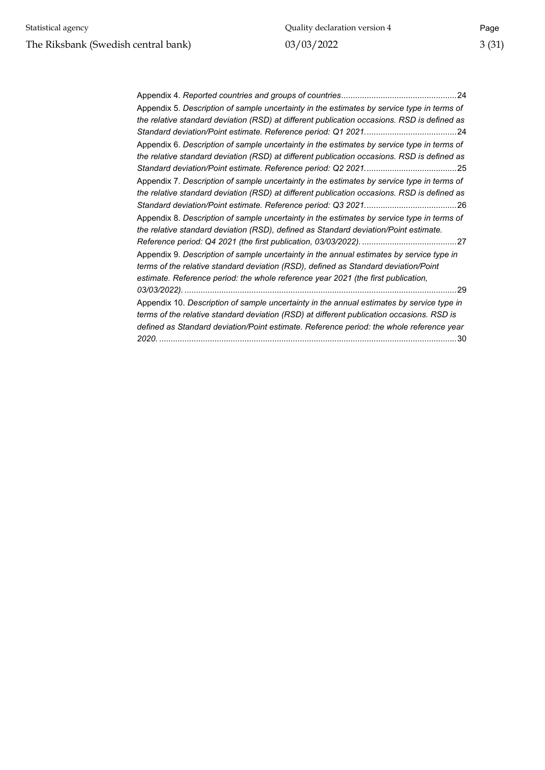| Appendix 5. Description of sample uncertainty in the estimates by service type in terms of  |
|---------------------------------------------------------------------------------------------|
| the relative standard deviation (RSD) at different publication occasions. RSD is defined as |
|                                                                                             |
| Appendix 6. Description of sample uncertainty in the estimates by service type in terms of  |
| the relative standard deviation (RSD) at different publication occasions. RSD is defined as |
|                                                                                             |
| Appendix 7. Description of sample uncertainty in the estimates by service type in terms of  |
| the relative standard deviation (RSD) at different publication occasions. RSD is defined as |
|                                                                                             |
| Appendix 8. Description of sample uncertainty in the estimates by service type in terms of  |
| the relative standard deviation (RSD), defined as Standard deviation/Point estimate.        |
|                                                                                             |
| Appendix 9. Description of sample uncertainty in the annual estimates by service type in    |
| terms of the relative standard deviation (RSD), defined as Standard deviation/Point         |
| estimate. Reference period: the whole reference year 2021 (the first publication,           |
|                                                                                             |
| Appendix 10. Description of sample uncertainty in the annual estimates by service type in   |
| terms of the relative standard deviation (RSD) at different publication occasions. RSD is   |
| defined as Standard deviation/Point estimate. Reference period: the whole reference year    |
| 2020.<br>30                                                                                 |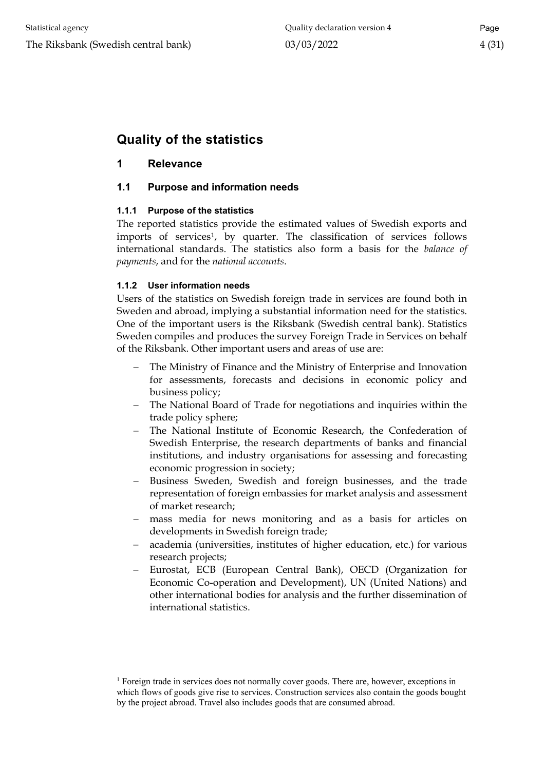# <span id="page-3-0"></span>**Quality of the statistics**

# <span id="page-3-1"></span>**1 Relevance**

# <span id="page-3-2"></span>**1.1 Purpose and information needs**

#### <span id="page-3-3"></span>**1.1.1 Purpose of the statistics**

The reported statistics provide the estimated values of Swedish exports and imports of services<sup>[1](#page-3-5)</sup>, by quarter. The classification of services follows international standards. The statistics also form a basis for the *balance of payments*, and for the *national accounts*.

#### <span id="page-3-4"></span>**1.1.2 User information needs**

Users of the statistics on Swedish foreign trade in services are found both in Sweden and abroad, implying a substantial information need for the statistics. One of the important users is the Riksbank (Swedish central bank). Statistics Sweden compiles and produces the survey Foreign Trade in Services on behalf of the Riksbank. Other important users and areas of use are:

- The Ministry of Finance and the Ministry of Enterprise and Innovation for assessments, forecasts and decisions in economic policy and business policy;
- − The National Board of Trade for negotiations and inquiries within the trade policy sphere;
- The National Institute of Economic Research, the Confederation of Swedish Enterprise, the research departments of banks and financial institutions, and industry organisations for assessing and forecasting economic progression in society;
- Business Sweden, Swedish and foreign businesses, and the trade representation of foreign embassies for market analysis and assessment of market research;
- − mass media for news monitoring and as a basis for articles on developments in Swedish foreign trade;
- − academia (universities, institutes of higher education, etc.) for various research projects;
- Eurostat, ECB (European Central Bank), OECD (Organization for Economic Co-operation and Development), UN (United Nations) and other international bodies for analysis and the further dissemination of international statistics.

<span id="page-3-5"></span><sup>&</sup>lt;sup>1</sup> Foreign trade in services does not normally cover goods. There are, however, exceptions in which flows of goods give rise to services. Construction services also contain the goods bought by the project abroad. Travel also includes goods that are consumed abroad.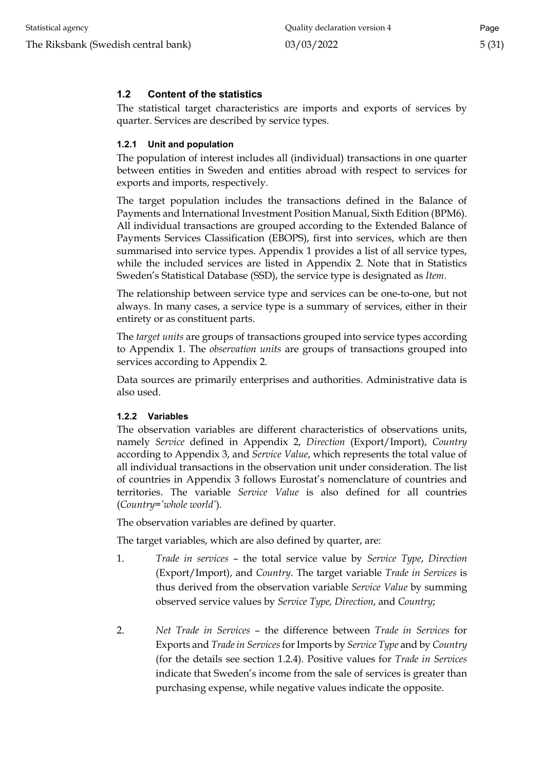# <span id="page-4-0"></span>**1.2 Content of the statistics**

The statistical target characteristics are imports and exports of services by quarter. Services are described by service types.

#### <span id="page-4-1"></span>**1.2.1 Unit and population**

The population of interest includes all (individual) transactions in one quarter between entities in Sweden and entities abroad with respect to services for exports and imports, respectively.

The target population includes the transactions defined in the Balance of Payments and International Investment Position Manual, Sixth Edition (BPM6). All individual transactions are grouped according to the Extended Balance of Payments Services Classification (EBOPS), first into services, which are then summarised into service types. Appendix 1 provides a list of all service types, while the included services are listed in Appendix 2. Note that in Statistics Sweden's Statistical Database (SSD), the service type is designated as *Item*.

The relationship between service type and services can be one-to-one, but not always. In many cases, a service type is a summary of services, either in their entirety or as constituent parts.

The *target units* are groups of transactions grouped into service types according to Appendix 1. The *observation units* are groups of transactions grouped into services according to Appendix 2.

Data sources are primarily enterprises and authorities. Administrative data is also used.

#### <span id="page-4-2"></span>**1.2.2 Variables**

The observation variables are different characteristics of observations units, namely *Service* defined in Appendix 2, *Direction* (Export/Import), *Country* according to Appendix 3, and *Service Value*, which represents the total value of all individual transactions in the observation unit under consideration. The list of countries in Appendix 3 follows Eurostat's nomenclature of countries and territories. The variable *Service Value* is also defined for all countries (*Country='whole world'*).

The observation variables are defined by quarter.

The target variables, which are also defined by quarter, are:

- 1. *Trade in services* the total service value by *Service Type*, *Direction* (Export/Import), and *Country*. The target variable *Trade in Services* is thus derived from the observation variable *Service Value* by summing observed service values by *Service Type, Direction*, and *Country*;
- 2. *Net Trade in Services* the difference between *Trade in Services* for Exports and *Trade in Services*for Imports by *Service Type* and by *Country* (for the details see section 1.2.4). Positive values for *Trade in Services* indicate that Sweden's income from the sale of services is greater than purchasing expense, while negative values indicate the opposite.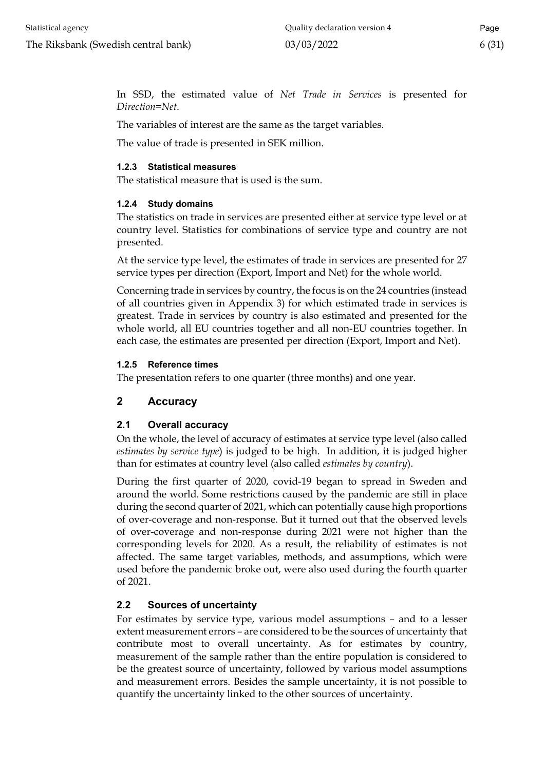In SSD, the estimated value of *Net Trade in Services* is presented for *Direction=Net*.

The variables of interest are the same as the target variables.

The value of trade is presented in SEK million.

#### <span id="page-5-0"></span>**1.2.3 Statistical measures**

The statistical measure that is used is the sum.

#### <span id="page-5-1"></span>**1.2.4 Study domains**

The statistics on trade in services are presented either at service type level or at country level. Statistics for combinations of service type and country are not presented.

At the service type level, the estimates of trade in services are presented for 27 service types per direction (Export, Import and Net) for the whole world.

Concerning trade in services by country, the focus is on the 24 countries (instead of all countries given in Appendix 3) for which estimated trade in services is greatest. Trade in services by country is also estimated and presented for the whole world, all EU countries together and all non-EU countries together. In each case, the estimates are presented per direction (Export, Import and Net).

#### <span id="page-5-2"></span>**1.2.5 Reference times**

The presentation refers to one quarter (three months) and one year.

# <span id="page-5-3"></span>**2 Accuracy**

#### <span id="page-5-4"></span>**2.1 Overall accuracy**

On the whole, the level of accuracy of estimates at service type level (also called *estimates by service type*) is judged to be high. In addition, it is judged higher than for estimates at country level (also called *estimates by country*).

During the first quarter of 2020, covid-19 began to spread in Sweden and around the world. Some restrictions caused by the pandemic are still in place during the second quarter of 2021, which can potentially cause high proportions of over-coverage and non-response. But it turned out that the observed levels of over-coverage and non-response during 2021 were not higher than the corresponding levels for 2020. As a result, the reliability of estimates is not affected. The same target variables, methods, and assumptions, which were used before the pandemic broke out, were also used during the fourth quarter of 2021.

#### <span id="page-5-5"></span>**2.2 Sources of uncertainty**

For estimates by service type, various model assumptions – and to a lesser extent measurement errors – are considered to be the sources of uncertainty that contribute most to overall uncertainty. As for estimates by country, measurement of the sample rather than the entire population is considered to be the greatest source of uncertainty, followed by various model assumptions and measurement errors. Besides the sample uncertainty, it is not possible to quantify the uncertainty linked to the other sources of uncertainty.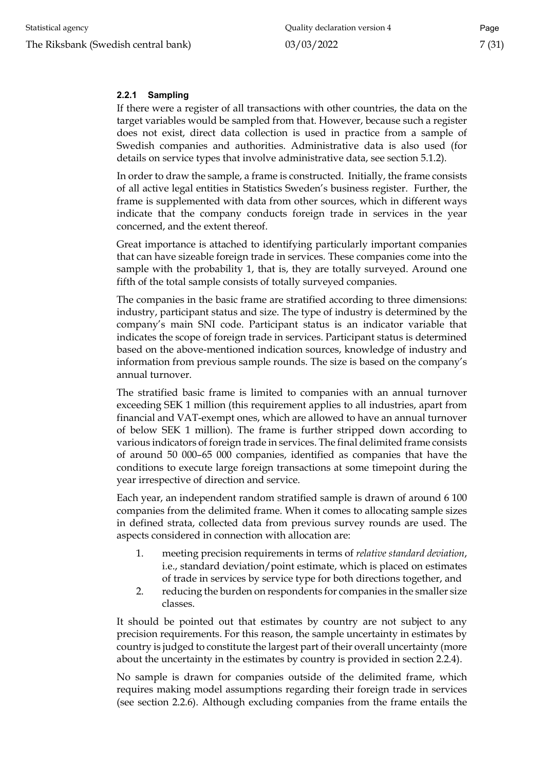#### <span id="page-6-0"></span>**2.2.1 Sampling**

If there were a register of all transactions with other countries, the data on the target variables would be sampled from that. However, because such a register does not exist, direct data collection is used in practice from a sample of Swedish companies and authorities. Administrative data is also used (for details on service types that involve administrative data, see section 5.1.2).

In order to draw the sample, a frame is constructed. Initially, the frame consists of all active legal entities in Statistics Sweden's business register. Further, the frame is supplemented with data from other sources, which in different ways indicate that the company conducts foreign trade in services in the year concerned, and the extent thereof.

Great importance is attached to identifying particularly important companies that can have sizeable foreign trade in services. These companies come into the sample with the probability 1, that is, they are totally surveyed. Around one fifth of the total sample consists of totally surveyed companies.

The companies in the basic frame are stratified according to three dimensions: industry, participant status and size. The type of industry is determined by the company's main SNI code. Participant status is an indicator variable that indicates the scope of foreign trade in services. Participant status is determined based on the above-mentioned indication sources, knowledge of industry and information from previous sample rounds. The size is based on the company's annual turnover.

The stratified basic frame is limited to companies with an annual turnover exceeding SEK 1 million (this requirement applies to all industries, apart from financial and VAT-exempt ones, which are allowed to have an annual turnover of below SEK 1 million). The frame is further stripped down according to various indicators of foreign trade in services. The final delimited frame consists of around 50 000–65 000 companies, identified as companies that have the conditions to execute large foreign transactions at some timepoint during the year irrespective of direction and service.

Each year, an independent random stratified sample is drawn of around 6 100 companies from the delimited frame. When it comes to allocating sample sizes in defined strata, collected data from previous survey rounds are used. The aspects considered in connection with allocation are:

- 1. meeting precision requirements in terms of *relative standard deviation*, i.e., standard deviation/point estimate, which is placed on estimates of trade in services by service type for both directions together, and
- 2. reducing the burden on respondents for companies in the smaller size classes.

It should be pointed out that estimates by country are not subject to any precision requirements. For this reason, the sample uncertainty in estimates by country is judged to constitute the largest part of their overall uncertainty (more about the uncertainty in the estimates by country is provided in section 2.2.4).

No sample is drawn for companies outside of the delimited frame, which requires making model assumptions regarding their foreign trade in services (see section 2.2.6). Although excluding companies from the frame entails the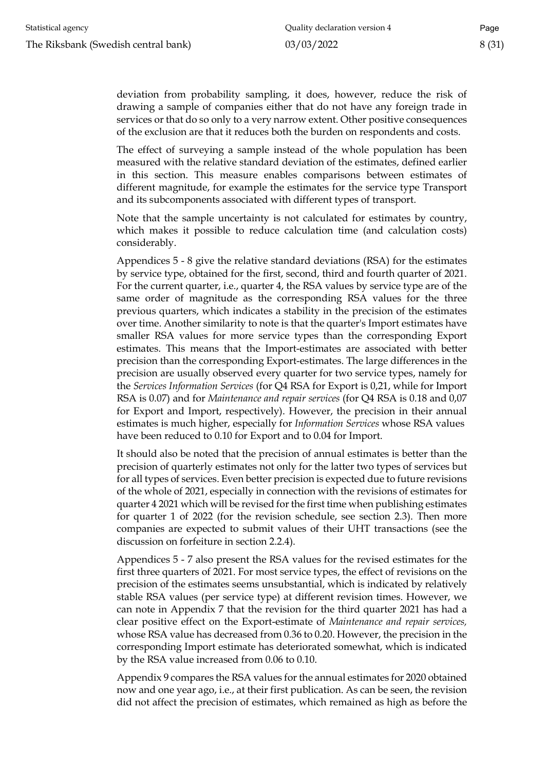deviation from probability sampling, it does, however, reduce the risk of drawing a sample of companies either that do not have any foreign trade in services or that do so only to a very narrow extent. Other positive consequences of the exclusion are that it reduces both the burden on respondents and costs.

The effect of surveying a sample instead of the whole population has been measured with the relative standard deviation of the estimates, defined earlier in this section. This measure enables comparisons between estimates of different magnitude, for example the estimates for the service type Transport and its subcomponents associated with different types of transport.

Note that the sample uncertainty is not calculated for estimates by country, which makes it possible to reduce calculation time (and calculation costs) considerably.

Appendices 5 - 8 give the relative standard deviations (RSA) for the estimates by service type, obtained for the first, second, third and fourth quarter of 2021. For the current quarter, i.e., quarter 4, the RSA values by service type are of the same order of magnitude as the corresponding RSA values for the three previous quarters, which indicates a stability in the precision of the estimates over time. Another similarity to note is that the quarter's Import estimates have smaller RSA values for more service types than the corresponding Export estimates. This means that the Import-estimates are associated with better precision than the corresponding Export-estimates. The large differences in the precision are usually observed every quarter for two service types, namely for the *Services Information Services* (for Q4 RSA for Export is 0,21, while for Import RSA is 0.07) and for *Maintenance and repair services* (for Q4 RSA is 0.18 and 0,07 for Export and Import, respectively). However, the precision in their annual estimates is much higher, especially for *Information Services* whose RSA values have been reduced to 0.10 for Export and to 0.04 for Import.

It should also be noted that the precision of annual estimates is better than the precision of quarterly estimates not only for the latter two types of services but for all types of services. Even better precision is expected due to future revisions of the whole of 2021, especially in connection with the revisions of estimates for quarter 4 2021 which will be revised for the first time when publishing estimates for quarter 1 of 2022 (for the revision schedule, see section 2.3). Then more companies are expected to submit values of their UHT transactions (see the discussion on forfeiture in section 2.2.4).

Appendices 5 - 7 also present the RSA values for the revised estimates for the first three quarters of 2021. For most service types, the effect of revisions on the precision of the estimates seems unsubstantial, which is indicated by relatively stable RSA values (per service type) at different revision times. However, we can note in Appendix 7 that the revision for the third quarter 2021 has had a clear positive effect on the Export-estimate of *Maintenance and repair services,*  whose RSA value has decreased from 0.36 to 0.20. However, the precision in the corresponding Import estimate has deteriorated somewhat, which is indicated by the RSA value increased from 0.06 to 0.10.

Appendix 9 compares the RSA values for the annual estimates for 2020 obtained now and one year ago, i.e., at their first publication. As can be seen, the revision did not affect the precision of estimates, which remained as high as before the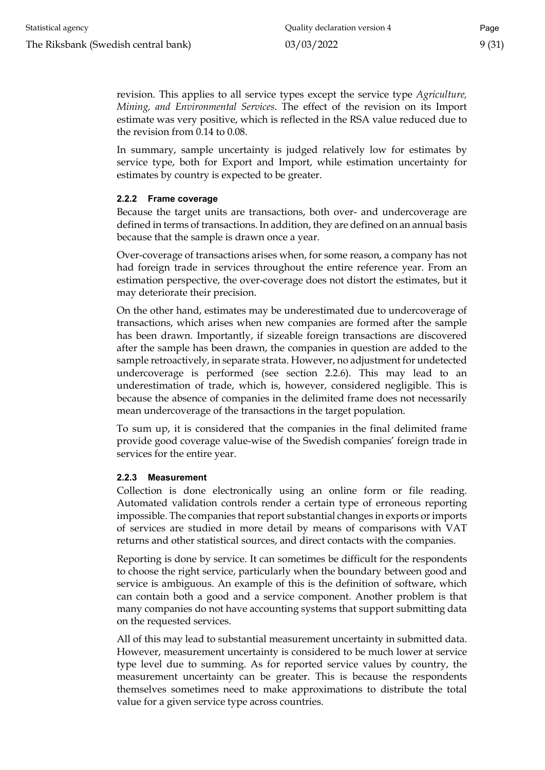revision. This applies to all service types except the service type *Agriculture, Mining, and Environmental Services*. The effect of the revision on its Import estimate was very positive, which is reflected in the RSA value reduced due to the revision from 0.14 to 0.08.

In summary, sample uncertainty is judged relatively low for estimates by service type, both for Export and Import, while estimation uncertainty for estimates by country is expected to be greater.

#### <span id="page-8-0"></span>**2.2.2 Frame coverage**

Because the target units are transactions, both over- and undercoverage are defined in terms of transactions. In addition, they are defined on an annual basis because that the sample is drawn once a year.

Over-coverage of transactions arises when, for some reason, a company has not had foreign trade in services throughout the entire reference year. From an estimation perspective, the over-coverage does not distort the estimates, but it may deteriorate their precision.

On the other hand, estimates may be underestimated due to undercoverage of transactions, which arises when new companies are formed after the sample has been drawn. Importantly, if sizeable foreign transactions are discovered after the sample has been drawn, the companies in question are added to the sample retroactively, in separate strata. However, no adjustment for undetected undercoverage is performed (see section 2.2.6). This may lead to an underestimation of trade, which is, however, considered negligible. This is because the absence of companies in the delimited frame does not necessarily mean undercoverage of the transactions in the target population.

To sum up, it is considered that the companies in the final delimited frame provide good coverage value-wise of the Swedish companies' foreign trade in services for the entire year.

#### <span id="page-8-1"></span>**2.2.3 Measurement**

Collection is done electronically using an online form or file reading. Automated validation controls render a certain type of erroneous reporting impossible. The companies that report substantial changes in exports or imports of services are studied in more detail by means of comparisons with VAT returns and other statistical sources, and direct contacts with the companies.

Reporting is done by service. It can sometimes be difficult for the respondents to choose the right service, particularly when the boundary between good and service is ambiguous. An example of this is the definition of software, which can contain both a good and a service component. Another problem is that many companies do not have accounting systems that support submitting data on the requested services.

All of this may lead to substantial measurement uncertainty in submitted data. However, measurement uncertainty is considered to be much lower at service type level due to summing. As for reported service values by country, the measurement uncertainty can be greater. This is because the respondents themselves sometimes need to make approximations to distribute the total value for a given service type across countries.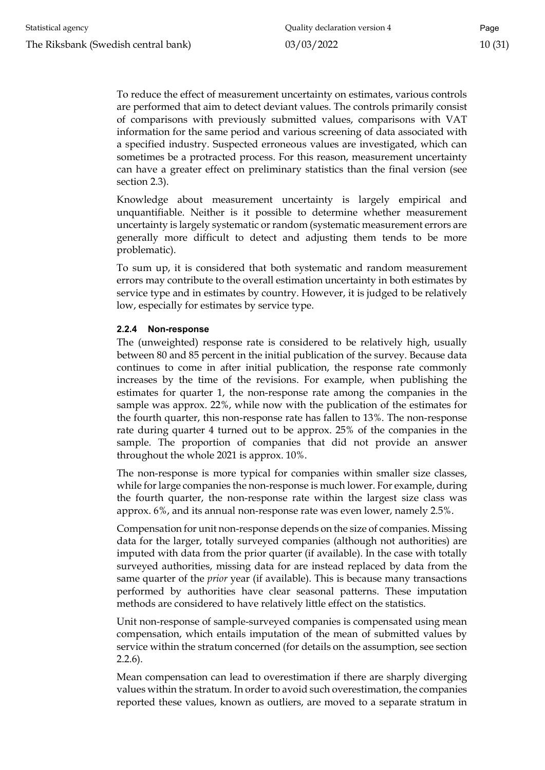To reduce the effect of measurement uncertainty on estimates, various controls are performed that aim to detect deviant values. The controls primarily consist of comparisons with previously submitted values, comparisons with VAT information for the same period and various screening of data associated with a specified industry. Suspected erroneous values are investigated, which can sometimes be a protracted process. For this reason, measurement uncertainty can have a greater effect on preliminary statistics than the final version (see section 2.3).

Knowledge about measurement uncertainty is largely empirical and unquantifiable. Neither is it possible to determine whether measurement uncertainty is largely systematic or random (systematic measurement errors are generally more difficult to detect and adjusting them tends to be more problematic).

To sum up, it is considered that both systematic and random measurement errors may contribute to the overall estimation uncertainty in both estimates by service type and in estimates by country. However, it is judged to be relatively low, especially for estimates by service type.

#### <span id="page-9-0"></span>**2.2.4 Non-response**

The (unweighted) response rate is considered to be relatively high, usually between 80 and 85 percent in the initial publication of the survey. Because data continues to come in after initial publication, the response rate commonly increases by the time of the revisions. For example, when publishing the estimates for quarter 1, the non-response rate among the companies in the sample was approx. 22%, while now with the publication of the estimates for the fourth quarter, this non-response rate has fallen to 13%. The non-response rate during quarter 4 turned out to be approx. 25% of the companies in the sample. The proportion of companies that did not provide an answer throughout the whole 2021 is approx. 10%.

The non-response is more typical for companies within smaller size classes, while for large companies the non-response is much lower. For example, during the fourth quarter, the non-response rate within the largest size class was approx. 6%, and its annual non-response rate was even lower, namely 2.5%.

Compensation for unit non-response depends on the size of companies. Missing data for the larger, totally surveyed companies (although not authorities) are imputed with data from the prior quarter (if available). In the case with totally surveyed authorities, missing data for are instead replaced by data from the same quarter of the *prior* year (if available). This is because many transactions performed by authorities have clear seasonal patterns. These imputation methods are considered to have relatively little effect on the statistics.

Unit non-response of sample-surveyed companies is compensated using mean compensation, which entails imputation of the mean of submitted values by service within the stratum concerned (for details on the assumption, see section 2.2.6).

Mean compensation can lead to overestimation if there are sharply diverging values within the stratum. In order to avoid such overestimation, the companies reported these values, known as outliers, are moved to a separate stratum in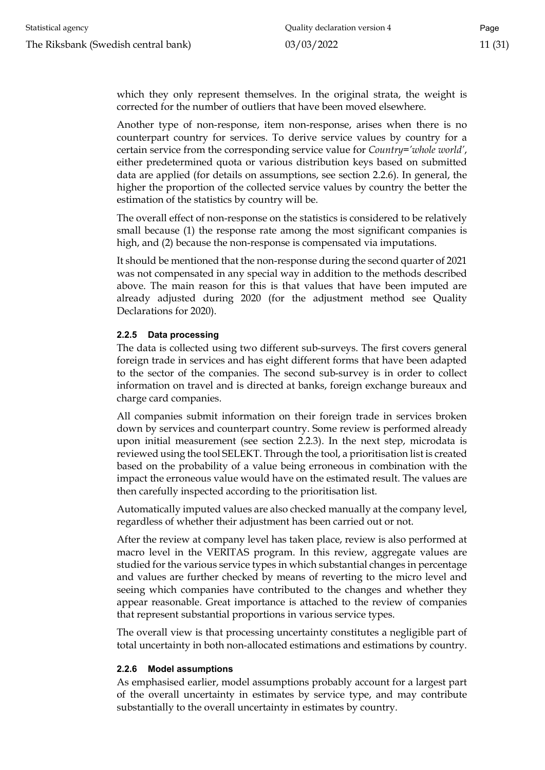which they only represent themselves. In the original strata, the weight is corrected for the number of outliers that have been moved elsewhere.

Another type of non-response, item non-response, arises when there is no counterpart country for services. To derive service values by country for a certain service from the corresponding service value for *Country='whole world'*, either predetermined quota or various distribution keys based on submitted data are applied (for details on assumptions, see section 2.2.6). In general, the higher the proportion of the collected service values by country the better the estimation of the statistics by country will be.

The overall effect of non-response on the statistics is considered to be relatively small because (1) the response rate among the most significant companies is high, and (2) because the non-response is compensated via imputations.

It should be mentioned that the non-response during the second quarter of 2021 was not compensated in any special way in addition to the methods described above. The main reason for this is that values that have been imputed are already adjusted during 2020 (for the adjustment method see Quality Declarations for 2020).

#### <span id="page-10-0"></span>**2.2.5 Data processing**

The data is collected using two different sub-surveys. The first covers general foreign trade in services and has eight different forms that have been adapted to the sector of the companies. The second sub-survey is in order to collect information on travel and is directed at banks, foreign exchange bureaux and charge card companies.

All companies submit information on their foreign trade in services broken down by services and counterpart country. Some review is performed already upon initial measurement (see section 2.2.3). In the next step, microdata is reviewed using the tool SELEKT. Through the tool, a prioritisation list is created based on the probability of a value being erroneous in combination with the impact the erroneous value would have on the estimated result. The values are then carefully inspected according to the prioritisation list.

Automatically imputed values are also checked manually at the company level, regardless of whether their adjustment has been carried out or not.

After the review at company level has taken place, review is also performed at macro level in the VERITAS program. In this review, aggregate values are studied for the various service types in which substantial changes in percentage and values are further checked by means of reverting to the micro level and seeing which companies have contributed to the changes and whether they appear reasonable. Great importance is attached to the review of companies that represent substantial proportions in various service types.

The overall view is that processing uncertainty constitutes a negligible part of total uncertainty in both non-allocated estimations and estimations by country.

#### <span id="page-10-1"></span>**2.2.6 Model assumptions**

As emphasised earlier, model assumptions probably account for a largest part of the overall uncertainty in estimates by service type, and may contribute substantially to the overall uncertainty in estimates by country.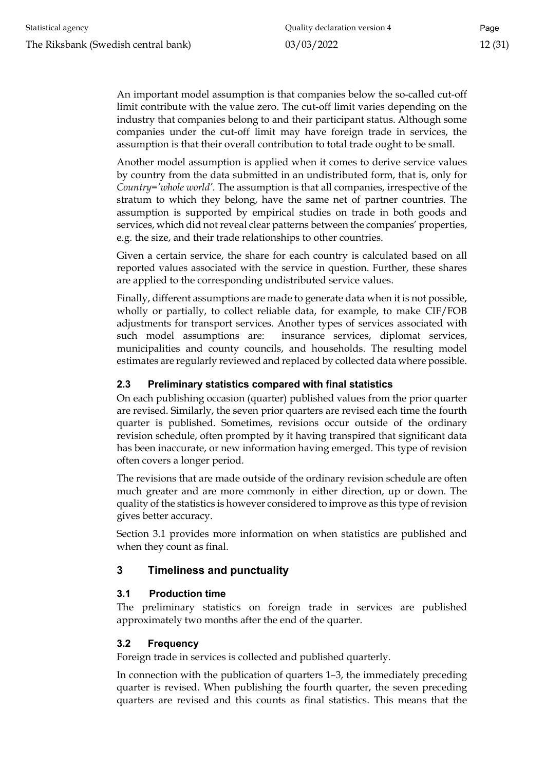An important model assumption is that companies below the so-called cut-off limit contribute with the value zero. The cut-off limit varies depending on the industry that companies belong to and their participant status. Although some companies under the cut-off limit may have foreign trade in services, the assumption is that their overall contribution to total trade ought to be small.

Another model assumption is applied when it comes to derive service values by country from the data submitted in an undistributed form, that is, only for *Country='whole world'*. The assumption is that all companies, irrespective of the stratum to which they belong, have the same net of partner countries. The assumption is supported by empirical studies on trade in both goods and services, which did not reveal clear patterns between the companies' properties, e.g. the size, and their trade relationships to other countries.

Given a certain service, the share for each country is calculated based on all reported values associated with the service in question. Further, these shares are applied to the corresponding undistributed service values.

Finally, different assumptions are made to generate data when it is not possible, wholly or partially, to collect reliable data, for example, to make CIF/FOB adjustments for transport services. Another types of services associated with such model assumptions are: insurance services, diplomat services, municipalities and county councils, and households. The resulting model estimates are regularly reviewed and replaced by collected data where possible.

#### <span id="page-11-0"></span>**2.3 Preliminary statistics compared with final statistics**

On each publishing occasion (quarter) published values from the prior quarter are revised. Similarly, the seven prior quarters are revised each time the fourth quarter is published. Sometimes, revisions occur outside of the ordinary revision schedule, often prompted by it having transpired that significant data has been inaccurate, or new information having emerged. This type of revision often covers a longer period.

The revisions that are made outside of the ordinary revision schedule are often much greater and are more commonly in either direction, up or down. The quality of the statistics is however considered to improve as this type of revision gives better accuracy.

Section 3.1 provides more information on when statistics are published and when they count as final.

# <span id="page-11-1"></span>**3 Timeliness and punctuality**

#### <span id="page-11-2"></span>**3.1 Production time**

The preliminary statistics on foreign trade in services are published approximately two months after the end of the quarter.

# <span id="page-11-3"></span>**3.2 Frequency**

Foreign trade in services is collected and published quarterly.

In connection with the publication of quarters 1–3, the immediately preceding quarter is revised. When publishing the fourth quarter, the seven preceding quarters are revised and this counts as final statistics. This means that the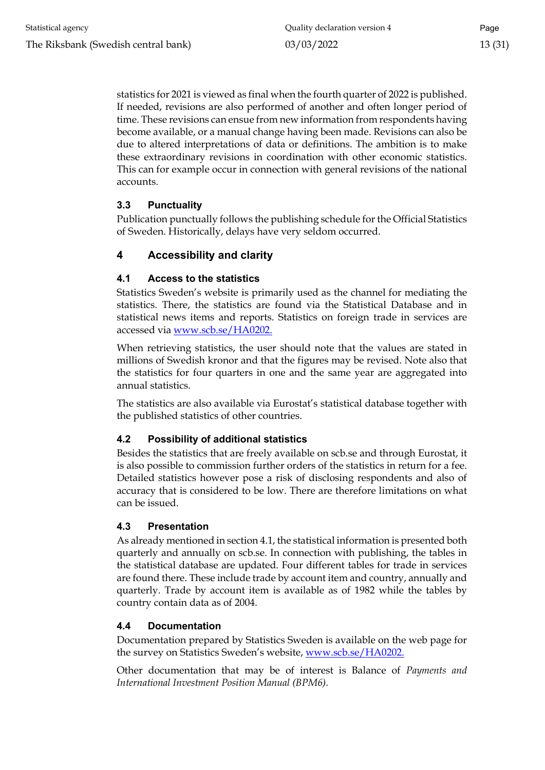statistics for 2021 is viewed as final when the fourth quarter of 2022 is published. If needed, revisions are also performed of another and often longer period of time. These revisions can ensue from new information from respondents having become available, or a manual change having been made. Revisions can also be due to altered interpretations of data or definitions. The ambition is to make these extraordinary revisions in coordination with other economic statistics. This can for example occur in connection with general revisions of the national accounts.

# <span id="page-12-0"></span>**3.3 Punctuality**

Publication punctually follows the publishing schedule for the Official Statistics of Sweden. Historically, delays have very seldom occurred.

# <span id="page-12-1"></span>**4 Accessibility and clarity**

#### <span id="page-12-2"></span>**4.1 Access to the statistics**

Statistics Sweden's website is primarily used as the channel for mediating the statistics. There, the statistics are found via the Statistical Database and in statistical news items and reports. Statistics on foreign trade in services are accessed via [www.scb.se/HA0202.](http://www.scb.se/HA0202)

When retrieving statistics, the user should note that the values are stated in millions of Swedish kronor and that the figures may be revised. Note also that the statistics for four quarters in one and the same year are aggregated into annual statistics.

The statistics are also available via Eurostat's statistical database together with the published statistics of other countries.

#### <span id="page-12-3"></span>**4.2 Possibility of additional statistics**

Besides the statistics that are freely available on scb.se and through Eurostat, it is also possible to commission further orders of the statistics in return for a fee. Detailed statistics however pose a risk of disclosing respondents and also of accuracy that is considered to be low. There are therefore limitations on what can be issued.

#### <span id="page-12-4"></span>**4.3 Presentation**

As already mentioned in section 4.1, the statistical information is presented both quarterly and annually on scb.se. In connection with publishing, the tables in the statistical database are updated. Four different tables for trade in services are found there. These include trade by account item and country, annually and quarterly. Trade by account item is available as of 1982 while the tables by country contain data as of 2004.

#### <span id="page-12-5"></span>**4.4 Documentation**

Documentation prepared by Statistics Sweden is available on the web page for the survey on Statistics Sweden's website, [www.scb.se/HA0202.](http://www.scb.se/HA0202)

Other documentation that may be of interest is Balance of *Payments and International Investment Position Manual (BPM6).*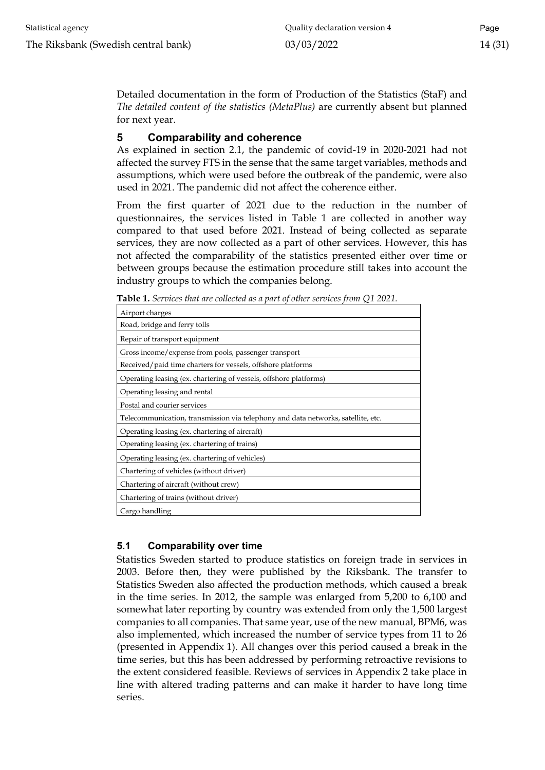Detailed documentation in the form of Production of the Statistics (StaF) and *The detailed content of the statistics (MetaPlus)* are currently absent but planned for next year.

#### <span id="page-13-0"></span>**5 Comparability and coherence**

As explained in section 2.1, the pandemic of covid-19 in 2020-2021 had not affected the survey FTS in the sense that the same target variables, methods and assumptions, which were used before the outbreak of the pandemic, were also used in 2021. The pandemic did not affect the coherence either.

From the first quarter of 2021 due to the reduction in the number of questionnaires, the services listed in Table 1 are collected in another way compared to that used before 2021. Instead of being collected as separate services, they are now collected as a part of other services. However, this has not affected the comparability of the statistics presented either over time or between groups because the estimation procedure still takes into account the industry groups to which the companies belong.

| <b>THEIR I.</b> DEFORCED THAT ALL CONCERT AS A part of other services from QT 2021. |
|-------------------------------------------------------------------------------------|
| Airport charges                                                                     |
| Road, bridge and ferry tolls                                                        |
| Repair of transport equipment                                                       |
| Gross income/expense from pools, passenger transport                                |
| Received/paid time charters for vessels, offshore platforms                         |
| Operating leasing (ex. chartering of vessels, offshore platforms)                   |
| Operating leasing and rental                                                        |
| Postal and courier services                                                         |
| Telecommunication, transmission via telephony and data networks, satellite, etc.    |
| Operating leasing (ex. chartering of aircraft)                                      |
| Operating leasing (ex. chartering of trains)                                        |
| Operating leasing (ex. chartering of vehicles)                                      |
| Chartering of vehicles (without driver)                                             |
| Chartering of aircraft (without crew)                                               |
| Chartering of trains (without driver)                                               |
| Cargo handling                                                                      |

**Table 1.** *Services that are collected as a part of other services from Q1 2021.*

#### <span id="page-13-1"></span>**5.1 Comparability over time**

Statistics Sweden started to produce statistics on foreign trade in services in 2003. Before then, they were published by the Riksbank. The transfer to Statistics Sweden also affected the production methods, which caused a break in the time series. In 2012, the sample was enlarged from 5,200 to 6,100 and somewhat later reporting by country was extended from only the 1,500 largest companies to all companies. That same year, use of the new manual, BPM6, was also implemented, which increased the number of service types from 11 to 26 (presented in Appendix 1). All changes over this period caused a break in the time series, but this has been addressed by performing retroactive revisions to the extent considered feasible. Reviews of services in Appendix 2 take place in line with altered trading patterns and can make it harder to have long time series.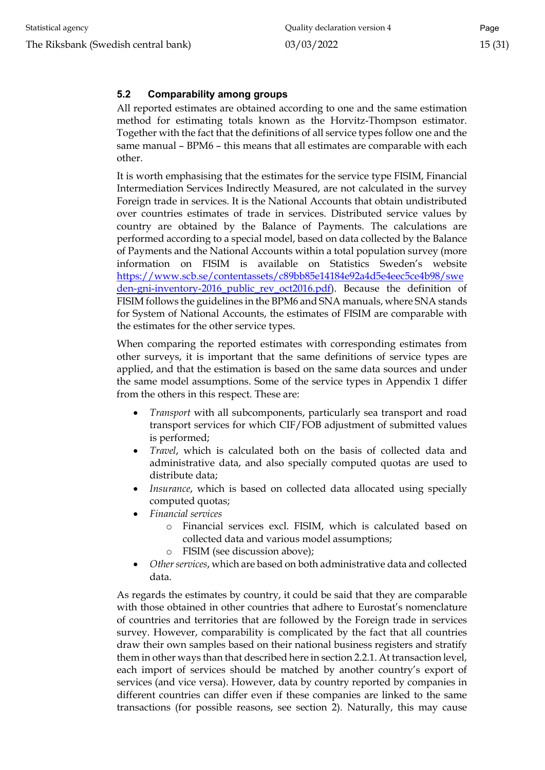#### <span id="page-14-0"></span>**5.2 Comparability among groups**

All reported estimates are obtained according to one and the same estimation method for estimating totals known as the Horvitz-Thompson estimator. Together with the fact that the definitions of all service types follow one and the same manual – BPM6 – this means that all estimates are comparable with each other.

It is worth emphasising that the estimates for the service type FISIM, Financial Intermediation Services Indirectly Measured, are not calculated in the survey Foreign trade in services. It is the National Accounts that obtain undistributed over countries estimates of trade in services. Distributed service values by country are obtained by the Balance of Payments. The calculations are performed according to a special model, based on data collected by the Balance of Payments and the National Accounts within a total population survey (more information on FISIM is available on Statistics Sweden's website [https://www.scb.se/contentassets/c89bb85e14184e92a4d5e4eec5ce4b98/swe](https://www.scb.se/contentassets/c89bb85e14184e92a4d5e4eec5ce4b98/sweden-gni-inventory-2016_public_rev_oct2016.pdf) [den-gni-inventory-2016\\_public\\_rev\\_oct2016.pdf\)](https://www.scb.se/contentassets/c89bb85e14184e92a4d5e4eec5ce4b98/sweden-gni-inventory-2016_public_rev_oct2016.pdf). Because the definition of FISIM follows the guidelines in the BPM6 and SNA manuals, where SNA stands for System of National Accounts, the estimates of FISIM are comparable with the estimates for the other service types.

When comparing the reported estimates with corresponding estimates from other surveys, it is important that the same definitions of service types are applied, and that the estimation is based on the same data sources and under the same model assumptions. Some of the service types in Appendix 1 differ from the others in this respect. These are:

- *Transport* with all subcomponents, particularly sea transport and road transport services for which CIF/FOB adjustment of submitted values is performed;
- *Travel*, which is calculated both on the basis of collected data and administrative data, and also specially computed quotas are used to distribute data;
- Insurance, which is based on collected data allocated using specially computed quotas;
- *Financial services*
	- o Financial services excl. FISIM, which is calculated based on collected data and various model assumptions;
	- o FISIM (see discussion above);
- Other services, which are based on both administrative data and collected data.

As regards the estimates by country, it could be said that they are comparable with those obtained in other countries that adhere to Eurostat's nomenclature of countries and territories that are followed by the Foreign trade in services survey. However, comparability is complicated by the fact that all countries draw their own samples based on their national business registers and stratify them in other ways than that described here in section 2.2.1. At transaction level, each import of services should be matched by another country's export of services (and vice versa). However, data by country reported by companies in different countries can differ even if these companies are linked to the same transactions (for possible reasons, see section 2). Naturally, this may cause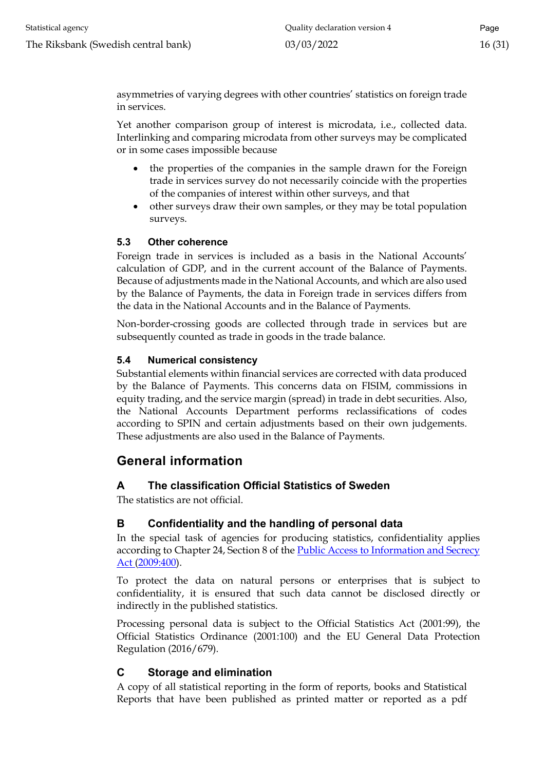asymmetries of varying degrees with other countries' statistics on foreign trade in services.

Yet another comparison group of interest is microdata, i.e., collected data. Interlinking and comparing microdata from other surveys may be complicated or in some cases impossible because

- the properties of the companies in the sample drawn for the Foreign trade in services survey do not necessarily coincide with the properties of the companies of interest within other surveys, and that
- other surveys draw their own samples, or they may be total population surveys.

# <span id="page-15-0"></span>**5.3 Other coherence**

Foreign trade in services is included as a basis in the National Accounts' calculation of GDP, and in the current account of the Balance of Payments. Because of adjustments made in the National Accounts, and which are also used by the Balance of Payments, the data in Foreign trade in services differs from the data in the National Accounts and in the Balance of Payments.

Non-border-crossing goods are collected through trade in services but are subsequently counted as trade in goods in the trade balance.

#### <span id="page-15-1"></span>**5.4 Numerical consistency**

Substantial elements within financial services are corrected with data produced by the Balance of Payments. This concerns data on FISIM, commissions in equity trading, and the service margin (spread) in trade in debt securities. Also, the National Accounts Department performs reclassifications of codes according to SPIN and certain adjustments based on their own judgements. These adjustments are also used in the Balance of Payments.

# <span id="page-15-2"></span>**General information**

# <span id="page-15-3"></span>**A The classification Official Statistics of Sweden**

The statistics are not official.

# <span id="page-15-4"></span>**B Confidentiality and the handling of personal data**

In the special task of agencies for producing statistics, confidentiality applies according to Chapter 24, Section 8 of the Public Access to Information and Secrecy [Act \(2009:400\).](http://www.riksdagen.se/sv/dokument-lagar/dokument/svensk-forfattningssamling/offentlighets--och-sekretesslag-2009400_sfs-2009-400)

To protect the data on natural persons or enterprises that is subject to confidentiality, it is ensured that such data cannot be disclosed directly or indirectly in the published statistics.

Processing personal data is subject to the Official Statistics Act (2001:99), the Official Statistics Ordinance (2001:100) and the EU General Data Protection Regulation (2016/679).

# <span id="page-15-5"></span>**C Storage and elimination**

A copy of all statistical reporting in the form of reports, books and Statistical Reports that have been published as printed matter or reported as a pdf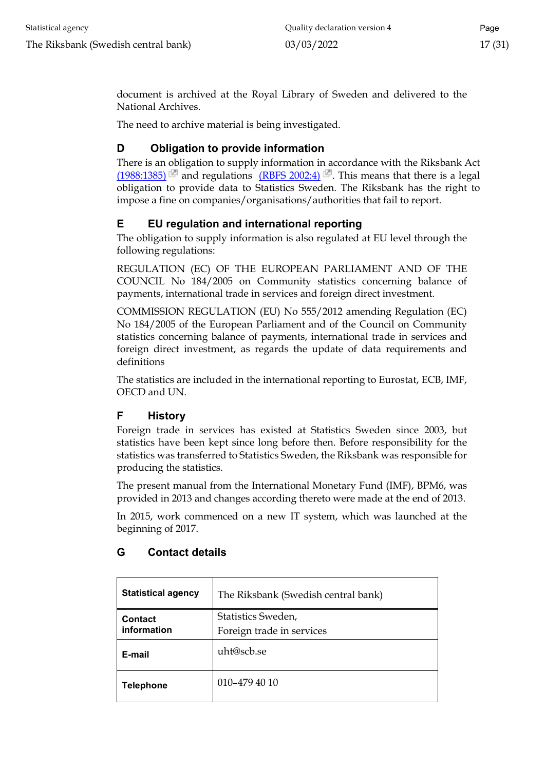document is archived at the Royal Library of Sweden and delivered to the National Archives.

The need to archive material is being investigated.

# <span id="page-16-0"></span>**D Obligation to provide information**

There is an obligation to supply information in accordance with the Riksbank Act  $(1988:1385)$  and regulations [\(RBFS 2002:4\)](http://www.riksbank.se/upload/Dokument_riksbank/Kat_publicerat/RBFS/2002_4.pdf) <sup>2</sup>. This means that there is a legal obligation to provide data to Statistics Sweden. The Riksbank has the right to impose a fine on companies/organisations/authorities that fail to report.

# <span id="page-16-1"></span>**E EU regulation and international reporting**

The obligation to supply information is also regulated at EU level through the following regulations:

REGULATION (EC) OF THE EUROPEAN PARLIAMENT AND OF THE COUNCIL No 184/2005 on Community statistics concerning balance of payments, international trade in services and foreign direct investment.

COMMISSION REGULATION (EU) No 555/2012 amending Regulation (EC) No 184/2005 of the European Parliament and of the Council on Community statistics concerning balance of payments, international trade in services and foreign direct investment, as regards the update of data requirements and definitions

The statistics are included in the international reporting to Eurostat, ECB, IMF, OECD and UN.

# <span id="page-16-2"></span>**F History**

Foreign trade in services has existed at Statistics Sweden since 2003, but statistics have been kept since long before then. Before responsibility for the statistics was transferred to Statistics Sweden, the Riksbank was responsible for producing the statistics.

The present manual from the International Monetary Fund (IMF), BPM6, was provided in 2013 and changes according thereto were made at the end of 2013.

In 2015, work commenced on a new IT system, which was launched at the beginning of 2017.

| <b>Statistical agency</b> | The Riksbank (Swedish central bank) |  |  |  |
|---------------------------|-------------------------------------|--|--|--|
| <b>Contact</b>            | Statistics Sweden,                  |  |  |  |
| information               | Foreign trade in services           |  |  |  |
| E-mail                    | uht@scb.se                          |  |  |  |
| <b>Telephone</b>          | $010 - 4794010$                     |  |  |  |

# <span id="page-16-3"></span>**G Contact details**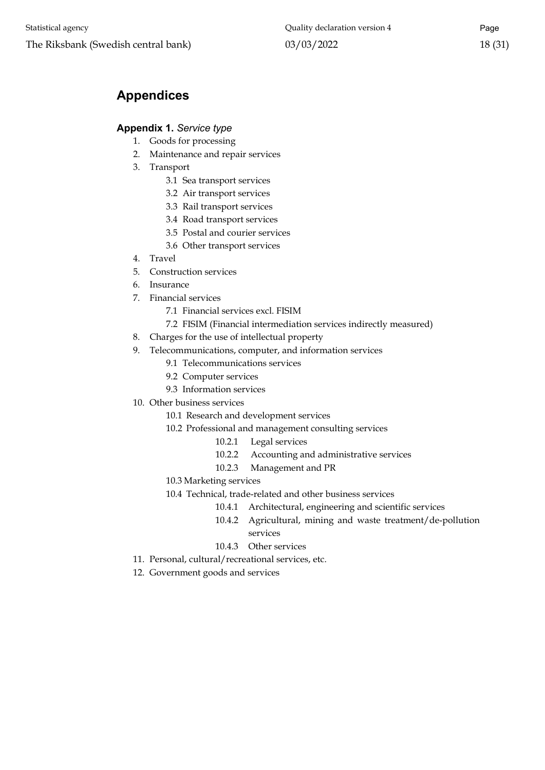# <span id="page-17-0"></span>**Appendices**

#### <span id="page-17-1"></span>**Appendix 1.** *Service type*

- 1. Goods for processing
- 2. Maintenance and repair services
- 3. Transport
	- 3.1 Sea transport services
	- 3.2 Air transport services
	- 3.3 Rail transport services
	- 3.4 Road transport services
	- 3.5 Postal and courier services
	- 3.6 Other transport services
- 4. Travel
- 5. Construction services
- 6. Insurance
- 7. Financial services
	- 7.1 Financial services excl. FISIM
	- 7.2 FISIM (Financial intermediation services indirectly measured)
- 8. Charges for the use of intellectual property
- 9. Telecommunications, computer, and information services
	- 9.1 Telecommunications services
	- 9.2 Computer services
	- 9.3 Information services
- 10. Other business services
	- 10.1 Research and development services
	- 10.2 Professional and management consulting services
		- 10.2.1 Legal services
		- 10.2.2 Accounting and administrative services
		- 10.2.3 Management and PR
	- 10.3 Marketing services
	- 10.4 Technical, trade-related and other business services
		- 10.4.1 Architectural, engineering and scientific services
		- 10.4.2 Agricultural, mining and waste treatment/de-pollution services
		- 10.4.3 Other services
- 11. Personal, cultural/recreational services, etc.
- 12. Government goods and services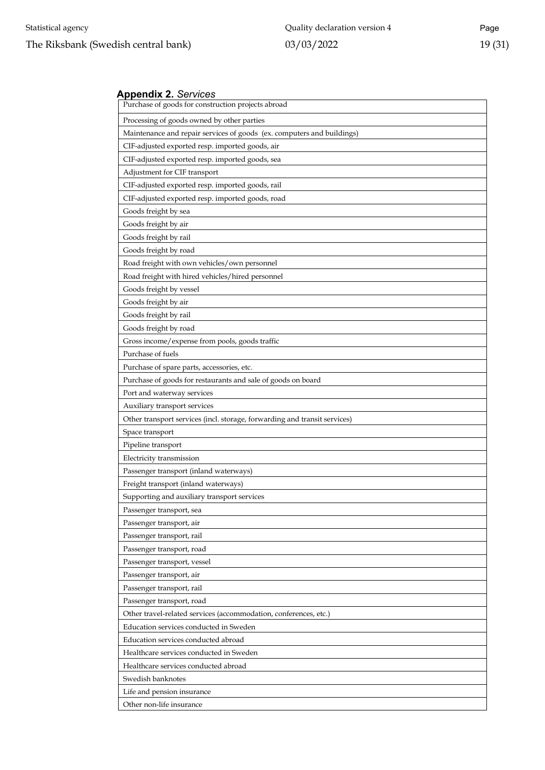#### <span id="page-18-0"></span>**Appendix 2.** *Services*

| Purchase of goods for construction projects abroad                        |
|---------------------------------------------------------------------------|
| Processing of goods owned by other parties                                |
| Maintenance and repair services of goods (ex. computers and buildings)    |
| CIF-adjusted exported resp. imported goods, air                           |
| CIF-adjusted exported resp. imported goods, sea                           |
| Adjustment for CIF transport                                              |
| CIF-adjusted exported resp. imported goods, rail                          |
| CIF-adjusted exported resp. imported goods, road                          |
| Goods freight by sea                                                      |
| Goods freight by air                                                      |
| Goods freight by rail                                                     |
| Goods freight by road                                                     |
| Road freight with own vehicles/own personnel                              |
| Road freight with hired vehicles/hired personnel                          |
| Goods freight by vessel                                                   |
| Goods freight by air                                                      |
| Goods freight by rail                                                     |
| Goods freight by road                                                     |
| Gross income/expense from pools, goods traffic                            |
| Purchase of fuels                                                         |
| Purchase of spare parts, accessories, etc.                                |
| Purchase of goods for restaurants and sale of goods on board              |
| Port and waterway services                                                |
| Auxiliary transport services                                              |
| Other transport services (incl. storage, forwarding and transit services) |
| Space transport                                                           |
| Pipeline transport                                                        |
| Electricity transmission                                                  |
| Passenger transport (inland waterways)                                    |
| Freight transport (inland waterways)                                      |
| Supporting and auxiliary transport services                               |
| Passenger transport, sea                                                  |
| Passenger transport, air                                                  |
| Passenger transport, rail                                                 |
| Passenger transport, road                                                 |
| Passenger transport, vessel                                               |
| Passenger transport, air                                                  |
| Passenger transport, rail                                                 |
| Passenger transport, road                                                 |
| Other travel-related services (accommodation, conferences, etc.)          |
| Education services conducted in Sweden                                    |
| Education services conducted abroad                                       |
| Healthcare services conducted in Sweden                                   |
| Healthcare services conducted abroad                                      |
| Swedish banknotes                                                         |
| Life and pension insurance                                                |
| Other non-life insurance                                                  |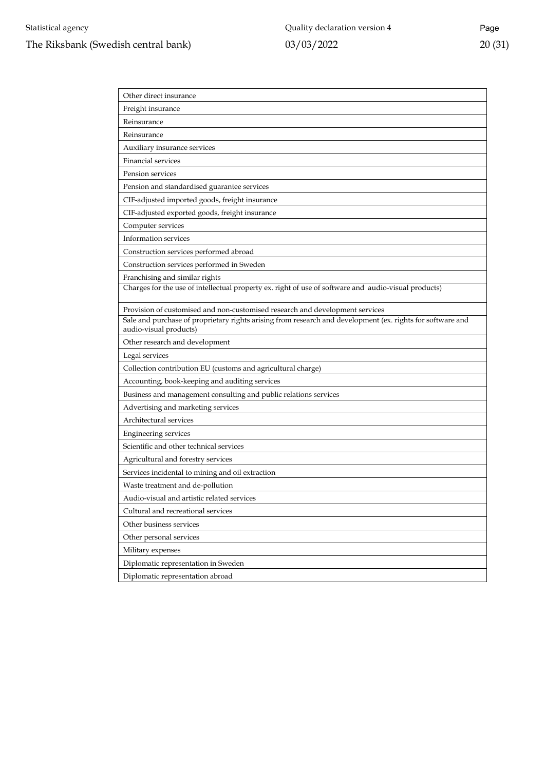| Other direct insurance                                                                                                               |
|--------------------------------------------------------------------------------------------------------------------------------------|
| Freight insurance                                                                                                                    |
| Reinsurance                                                                                                                          |
| Reinsurance                                                                                                                          |
| Auxiliary insurance services                                                                                                         |
| <b>Financial services</b>                                                                                                            |
| Pension services                                                                                                                     |
| Pension and standardised guarantee services                                                                                          |
| CIF-adjusted imported goods, freight insurance                                                                                       |
| CIF-adjusted exported goods, freight insurance                                                                                       |
| Computer services                                                                                                                    |
| Information services                                                                                                                 |
| Construction services performed abroad                                                                                               |
| Construction services performed in Sweden                                                                                            |
| Franchising and similar rights                                                                                                       |
| Charges for the use of intellectual property ex. right of use of software and audio-visual products)                                 |
| Provision of customised and non-customised research and development services                                                         |
| Sale and purchase of proprietary rights arising from research and development (ex. rights for software and<br>audio-visual products) |
| Other research and development                                                                                                       |
| Legal services                                                                                                                       |
| Collection contribution EU (customs and agricultural charge)                                                                         |
| Accounting, book-keeping and auditing services                                                                                       |
| Business and management consulting and public relations services                                                                     |
| Advertising and marketing services                                                                                                   |
| Architectural services                                                                                                               |
|                                                                                                                                      |
| Engineering services                                                                                                                 |
| Scientific and other technical services                                                                                              |
| Agricultural and forestry services                                                                                                   |
| Services incidental to mining and oil extraction                                                                                     |
| Waste treatment and de-pollution                                                                                                     |
| Audio-visual and artistic related services                                                                                           |
| Cultural and recreational services                                                                                                   |
| Other business services                                                                                                              |
| Other personal services                                                                                                              |
| Military expenses                                                                                                                    |
| Diplomatic representation in Sweden                                                                                                  |
| Diplomatic representation abroad                                                                                                     |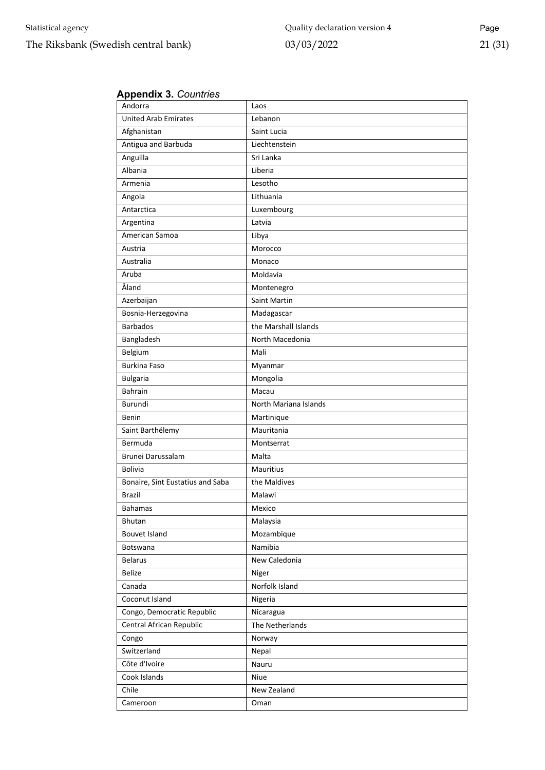#### <span id="page-20-0"></span>**Appendix 3.** *Countries*

| Andorra                          | Laos                  |  |  |  |
|----------------------------------|-----------------------|--|--|--|
| <b>United Arab Emirates</b>      | Lebanon               |  |  |  |
| Afghanistan                      | Saint Lucia           |  |  |  |
| Antigua and Barbuda              | Liechtenstein         |  |  |  |
| Anguilla                         | Sri Lanka             |  |  |  |
| Albania                          | Liberia               |  |  |  |
| Armenia                          | Lesotho               |  |  |  |
| Angola                           | Lithuania             |  |  |  |
| Antarctica                       | Luxembourg            |  |  |  |
| Argentina                        | Latvia                |  |  |  |
| American Samoa                   | Libya                 |  |  |  |
| Austria                          | Morocco               |  |  |  |
| Australia                        | Monaco                |  |  |  |
| Aruba                            | Moldavia              |  |  |  |
| Åland                            | Montenegro            |  |  |  |
| Azerbaijan                       | Saint Martin          |  |  |  |
| Bosnia-Herzegovina               | Madagascar            |  |  |  |
| <b>Barbados</b>                  | the Marshall Islands  |  |  |  |
| Bangladesh                       | North Macedonia       |  |  |  |
| Belgium                          | Mali                  |  |  |  |
| <b>Burkina Faso</b>              | Myanmar               |  |  |  |
| <b>Bulgaria</b>                  | Mongolia              |  |  |  |
| <b>Bahrain</b>                   | Macau                 |  |  |  |
| Burundi                          | North Mariana Islands |  |  |  |
| Benin                            | Martinique            |  |  |  |
| Saint Barthélemy                 | Mauritania            |  |  |  |
| Bermuda                          | Montserrat            |  |  |  |
| Brunei Darussalam                | Malta                 |  |  |  |
| <b>Bolivia</b>                   | Mauritius             |  |  |  |
| Bonaire, Sint Eustatius and Saba | the Maldives          |  |  |  |
| <b>Brazil</b>                    | Malawi                |  |  |  |
| Bahamas                          | Mexico                |  |  |  |
| Bhutan                           | Malaysia              |  |  |  |
| Bouvet Island                    | Mozambique            |  |  |  |
| <b>Botswana</b>                  | Namibia               |  |  |  |
| <b>Belarus</b>                   | New Caledonia         |  |  |  |
| Belize                           | Niger                 |  |  |  |
| Canada                           | Norfolk Island        |  |  |  |
| Coconut Island                   | Nigeria               |  |  |  |
| Congo, Democratic Republic       | Nicaragua             |  |  |  |
| Central African Republic         | The Netherlands       |  |  |  |
| Congo                            | Norway                |  |  |  |
| Switzerland                      | Nepal                 |  |  |  |
| Côte d'Ivoire                    | Nauru                 |  |  |  |
| Cook Islands                     | Niue                  |  |  |  |
| Chile                            | New Zealand           |  |  |  |
| Cameroon                         | Oman                  |  |  |  |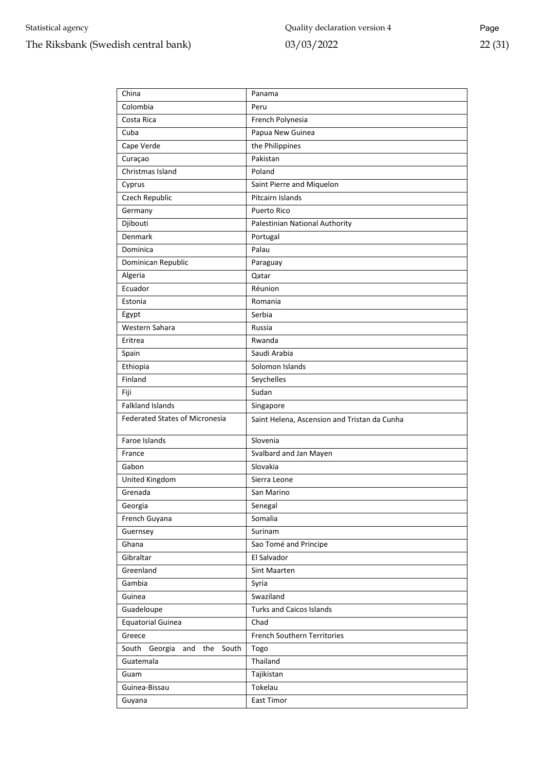| China                                   | Panama                                       |  |  |  |  |
|-----------------------------------------|----------------------------------------------|--|--|--|--|
| Colombia                                | Peru                                         |  |  |  |  |
| Costa Rica                              | French Polynesia                             |  |  |  |  |
| Cuba                                    | Papua New Guinea                             |  |  |  |  |
| Cape Verde                              | the Philippines                              |  |  |  |  |
| Curaçao                                 | Pakistan                                     |  |  |  |  |
| Christmas Island                        | Poland                                       |  |  |  |  |
| Cyprus                                  | Saint Pierre and Miquelon                    |  |  |  |  |
| Czech Republic                          | Pitcairn Islands                             |  |  |  |  |
| Germany                                 | <b>Puerto Rico</b>                           |  |  |  |  |
| Djibouti                                | Palestinian National Authority               |  |  |  |  |
| Denmark                                 | Portugal                                     |  |  |  |  |
| Dominica                                | Palau                                        |  |  |  |  |
| Dominican Republic                      | Paraguay                                     |  |  |  |  |
| Algeria                                 | Qatar                                        |  |  |  |  |
| Ecuador                                 | Réunion                                      |  |  |  |  |
| Estonia                                 | Romania                                      |  |  |  |  |
| Egypt                                   | Serbia                                       |  |  |  |  |
| Western Sahara                          | Russia                                       |  |  |  |  |
| Eritrea                                 | Rwanda                                       |  |  |  |  |
| Spain                                   | Saudi Arabia                                 |  |  |  |  |
| Ethiopia                                | Solomon Islands                              |  |  |  |  |
| Finland                                 | Seychelles                                   |  |  |  |  |
| Fiji                                    | Sudan                                        |  |  |  |  |
| <b>Falkland Islands</b>                 | Singapore                                    |  |  |  |  |
| <b>Federated States of Micronesia</b>   | Saint Helena, Ascension and Tristan da Cunha |  |  |  |  |
| Faroe Islands                           | Slovenia                                     |  |  |  |  |
| France                                  | Svalbard and Jan Mayen                       |  |  |  |  |
| Gabon                                   | Slovakia                                     |  |  |  |  |
| United Kingdom                          | Sierra Leone                                 |  |  |  |  |
| Grenada                                 | San Marino                                   |  |  |  |  |
| Georgia                                 | Senegal                                      |  |  |  |  |
| French Guyana                           | Somalia                                      |  |  |  |  |
| Guernsey                                | Surinam                                      |  |  |  |  |
| Ghana                                   | Sao Tomé and Principe                        |  |  |  |  |
| Gibraltar                               | El Salvador                                  |  |  |  |  |
| Greenland                               | Sint Maarten                                 |  |  |  |  |
| Gambia                                  | Syria                                        |  |  |  |  |
| Guinea                                  | Swaziland                                    |  |  |  |  |
| Guadeloupe                              | <b>Turks and Caicos Islands</b>              |  |  |  |  |
| <b>Equatorial Guinea</b>                | Chad                                         |  |  |  |  |
| Greece                                  | <b>French Southern Territories</b>           |  |  |  |  |
| South<br>South<br>Georgia<br>the<br>and | Togo                                         |  |  |  |  |
| Guatemala                               | Thailand                                     |  |  |  |  |
| Guam                                    | Tajikistan                                   |  |  |  |  |
| Guinea-Bissau                           | Tokelau                                      |  |  |  |  |
| Guyana                                  | East Timor                                   |  |  |  |  |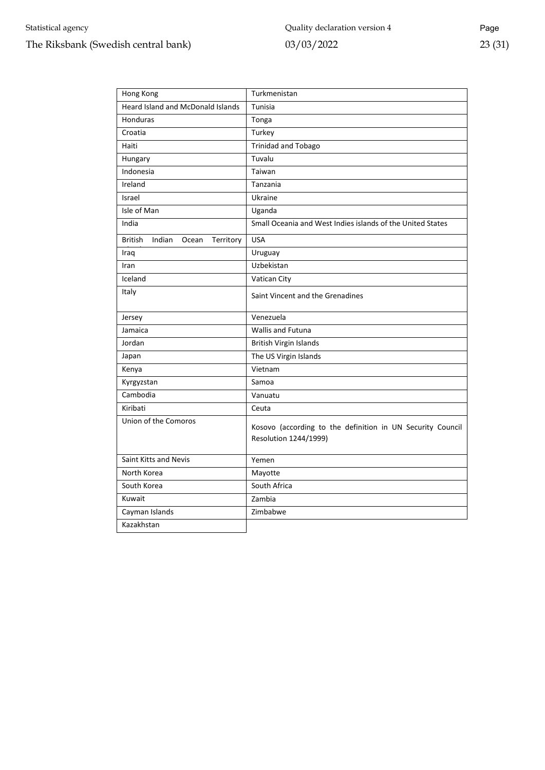# Statistical agency The Riksbank (Swedish central bank)

| Hong Kong                                | Turkmenistan                                                                        |  |  |  |  |
|------------------------------------------|-------------------------------------------------------------------------------------|--|--|--|--|
| <b>Heard Island and McDonald Islands</b> | Tunisia                                                                             |  |  |  |  |
| Honduras                                 | Tonga                                                                               |  |  |  |  |
| Croatia                                  | Turkey                                                                              |  |  |  |  |
| Haiti                                    | <b>Trinidad and Tobago</b>                                                          |  |  |  |  |
| Hungary                                  | Tuvalu                                                                              |  |  |  |  |
| Indonesia                                | Taiwan                                                                              |  |  |  |  |
| Ireland                                  | Tanzania                                                                            |  |  |  |  |
| Israel                                   | Ukraine                                                                             |  |  |  |  |
| Isle of Man                              | Uganda                                                                              |  |  |  |  |
| India                                    | Small Oceania and West Indies islands of the United States                          |  |  |  |  |
| Indian<br>British<br>Territory<br>Ocean  | <b>USA</b>                                                                          |  |  |  |  |
| Iraq                                     | Uruguay                                                                             |  |  |  |  |
| Iran                                     | Uzbekistan                                                                          |  |  |  |  |
| Iceland                                  | Vatican City                                                                        |  |  |  |  |
| Italy                                    | Saint Vincent and the Grenadines                                                    |  |  |  |  |
| Jersey                                   | Venezuela                                                                           |  |  |  |  |
| Jamaica                                  | <b>Wallis and Futuna</b>                                                            |  |  |  |  |
| Jordan                                   | <b>British Virgin Islands</b>                                                       |  |  |  |  |
| Japan                                    | The US Virgin Islands                                                               |  |  |  |  |
| Kenya                                    | Vietnam                                                                             |  |  |  |  |
| Kyrgyzstan                               | Samoa                                                                               |  |  |  |  |
| Cambodia                                 | Vanuatu                                                                             |  |  |  |  |
| Kiribati                                 | Ceuta                                                                               |  |  |  |  |
| Union of the Comoros                     | Kosovo (according to the definition in UN Security Council<br>Resolution 1244/1999) |  |  |  |  |
|                                          |                                                                                     |  |  |  |  |
| Saint Kitts and Nevis                    | Yemen                                                                               |  |  |  |  |
| North Korea                              | Mayotte                                                                             |  |  |  |  |
| South Korea                              | South Africa                                                                        |  |  |  |  |
| Kuwait                                   | Zambia                                                                              |  |  |  |  |
| Cayman Islands                           | Zimbabwe                                                                            |  |  |  |  |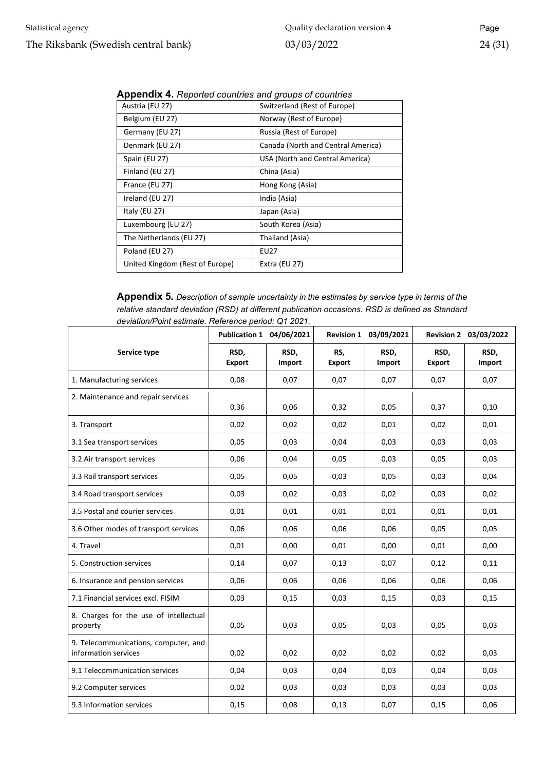| Austria (EU 27)                 | Switzerland (Rest of Europe)       |
|---------------------------------|------------------------------------|
| Belgium (EU 27)                 | Norway (Rest of Europe)            |
| Germany (EU 27)                 | Russia (Rest of Europe)            |
| Denmark (EU 27)                 | Canada (North and Central America) |
| Spain (EU 27)                   | USA (North and Central America)    |
| Finland (EU 27)                 | China (Asia)                       |
| France (EU 27)                  | Hong Kong (Asia)                   |
| Ireland (EU 27)                 | India (Asia)                       |
| Italy (EU 27)                   | Japan (Asia)                       |
| Luxembourg (EU 27)              | South Korea (Asia)                 |
| The Netherlands (EU 27)         | Thailand (Asia)                    |
| Poland (EU 27)                  | EU27                               |
| United Kingdom (Rest of Europe) | Extra (EU 27)                      |

<span id="page-23-0"></span>**Appendix 4.** *Reported countries and groups of countries*

<span id="page-23-1"></span>**Appendix 5.** *Description of sample uncertainty in the estimates by service type in terms of the relative standard deviation (RSD) at different publication occasions. RSD is defined as Standard deviation/Point estimate. Reference period: Q1 2021.*

|                                                              | Publication 1 04/06/2021 |                |                      | Revision 1 03/09/2021 |                       | Revision 2 03/03/2022 |
|--------------------------------------------------------------|--------------------------|----------------|----------------------|-----------------------|-----------------------|-----------------------|
| Service type                                                 | RSD,<br><b>Export</b>    | RSD,<br>Import | RS,<br><b>Export</b> | RSD,<br>Import        | RSD,<br><b>Export</b> | RSD,<br>Import        |
| 1. Manufacturing services                                    | 0,08                     | 0,07           | 0,07                 | 0,07                  | 0,07                  | 0,07                  |
| 2. Maintenance and repair services                           | 0,36                     | 0,06           | 0,32                 | 0,05                  | 0,37                  | 0,10                  |
| 3. Transport                                                 | 0,02                     | 0,02           | 0,02                 | 0,01                  | 0,02                  | 0,01                  |
| 3.1 Sea transport services                                   | 0,05                     | 0,03           | 0,04                 | 0,03                  | 0,03                  | 0,03                  |
| 3.2 Air transport services                                   | 0,06                     | 0,04           | 0,05                 | 0,03                  | 0,05                  | 0,03                  |
| 3.3 Rail transport services                                  | 0,05                     | 0,05           | 0,03                 | 0,05                  | 0,03                  | 0,04                  |
| 3.4 Road transport services                                  | 0,03                     | 0,02           | 0,03                 | 0,02                  | 0,03                  | 0,02                  |
| 3.5 Postal and courier services                              | 0,01                     | 0,01           | 0,01                 | 0,01                  | 0,01                  | 0,01                  |
| 3.6 Other modes of transport services                        | 0,06                     | 0,06           | 0,06                 | 0,06                  | 0,05                  | 0,05                  |
| 4. Travel                                                    | 0,01                     | 0,00           | 0,01                 | 0,00                  | 0,01                  | 0,00                  |
| 5. Construction services                                     | 0,14                     | 0,07           | 0,13                 | 0,07                  | 0,12                  | 0,11                  |
| 6. Insurance and pension services                            | 0,06                     | 0,06           | 0,06                 | 0,06                  | 0,06                  | 0,06                  |
| 7.1 Financial services excl. FISIM                           | 0,03                     | 0,15           | 0,03                 | 0,15                  | 0,03                  | 0,15                  |
| 8. Charges for the use of intellectual<br>property           | 0,05                     | 0,03           | 0,05                 | 0,03                  | 0,05                  | 0,03                  |
| 9. Telecommunications, computer, and<br>information services | 0,02                     | 0,02           | 0,02                 | 0,02                  | 0,02                  | 0,03                  |
| 9.1 Telecommunication services                               | 0,04                     | 0,03           | 0,04                 | 0,03                  | 0,04                  | 0,03                  |
| 9.2 Computer services                                        | 0,02                     | 0,03           | 0,03                 | 0,03                  | 0,03                  | 0,03                  |
| 9.3 Information services                                     | 0,15                     | 0,08           | 0,13                 | 0,07                  | 0,15                  | 0,06                  |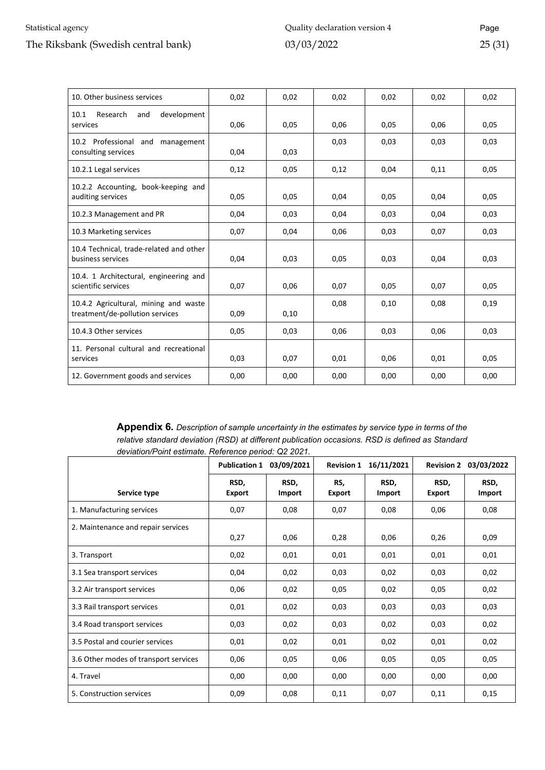#### Statistical agency

#### The Riksbank (Swedish central bank)

| 10. Other business services                                              | 0,02 | 0,02 | 0,02 | 0,02 | 0,02 | 0,02 |
|--------------------------------------------------------------------------|------|------|------|------|------|------|
| 10.1<br>Research<br>development<br>and<br>services                       | 0,06 | 0,05 | 0,06 | 0,05 | 0,06 | 0,05 |
| 10.2 Professional and<br>management<br>consulting services               | 0,04 | 0,03 | 0,03 | 0,03 | 0,03 | 0,03 |
| 10.2.1 Legal services                                                    | 0,12 | 0,05 | 0,12 | 0,04 | 0,11 | 0,05 |
| 10.2.2 Accounting, book-keeping and<br>auditing services                 | 0,05 | 0,05 | 0,04 | 0,05 | 0,04 | 0,05 |
| 10.2.3 Management and PR                                                 | 0,04 | 0,03 | 0,04 | 0,03 | 0,04 | 0,03 |
| 10.3 Marketing services                                                  | 0,07 | 0,04 | 0,06 | 0,03 | 0,07 | 0,03 |
| 10.4 Technical, trade-related and other<br>business services             | 0,04 | 0,03 | 0,05 | 0,03 | 0,04 | 0,03 |
| 10.4. 1 Architectural, engineering and<br>scientific services            | 0,07 | 0,06 | 0,07 | 0,05 | 0,07 | 0,05 |
| 10.4.2 Agricultural, mining and waste<br>treatment/de-pollution services | 0,09 | 0,10 | 0,08 | 0,10 | 0.08 | 0,19 |
| 10.4.3 Other services                                                    | 0,05 | 0,03 | 0,06 | 0,03 | 0,06 | 0,03 |
| 11. Personal cultural and recreational<br>services                       | 0,03 | 0,07 | 0,01 | 0,06 | 0,01 | 0,05 |
| 12. Government goods and services                                        | 0,00 | 0,00 | 0,00 | 0,00 | 0,00 | 0,00 |

<span id="page-24-0"></span>**Appendix 6.** *Description of sample uncertainty in the estimates by service type in terms of the relative standard deviation (RSD) at different publication occasions. RSD is defined as Standard deviation/Point estimate. Reference period: Q2 2021.* 

|                                       | <b>Publication 1</b>  | 03/09/2021     | <b>Revision 1</b>    | 16/11/2021     | <b>Revision 2</b>     | 03/03/2022     |
|---------------------------------------|-----------------------|----------------|----------------------|----------------|-----------------------|----------------|
| Service type                          | RSD,<br><b>Export</b> | RSD,<br>Import | RS,<br><b>Export</b> | RSD,<br>Import | RSD,<br><b>Export</b> | RSD,<br>Import |
| 1. Manufacturing services             | 0,07                  | 0,08           | 0,07                 | 0,08           | 0,06                  | 0,08           |
| 2. Maintenance and repair services    | 0,27                  | 0,06           | 0,28                 | 0,06           | 0,26                  | 0,09           |
| 3. Transport                          | 0,02                  | 0,01           | 0,01                 | 0,01           | 0,01                  | 0,01           |
| 3.1 Sea transport services            | 0,04                  | 0,02           | 0,03                 | 0,02           | 0,03                  | 0,02           |
| 3.2 Air transport services            | 0,06                  | 0,02           | 0,05                 | 0,02           | 0,05                  | 0,02           |
| 3.3 Rail transport services           | 0,01                  | 0,02           | 0,03                 | 0,03           | 0,03                  | 0,03           |
| 3.4 Road transport services           | 0,03                  | 0,02           | 0,03                 | 0,02           | 0,03                  | 0,02           |
| 3.5 Postal and courier services       | 0,01                  | 0,02           | 0,01                 | 0,02           | 0,01                  | 0,02           |
| 3.6 Other modes of transport services | 0,06                  | 0,05           | 0,06                 | 0,05           | 0,05                  | 0,05           |
| 4. Travel                             | 0,00                  | 0,00           | 0,00                 | 0,00           | 0,00                  | 0,00           |
| 5. Construction services              | 0,09                  | 0,08           | 0,11                 | 0,07           | 0,11                  | 0,15           |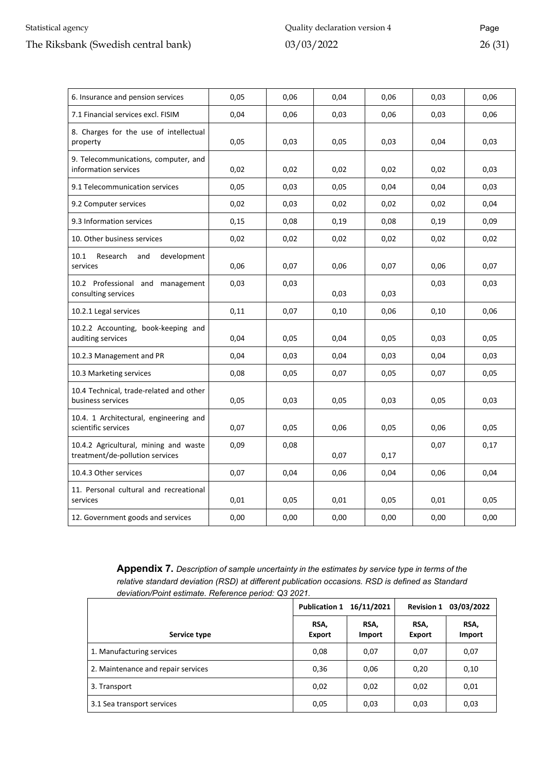#### Statistical agency

#### The Riksbank (Swedish central bank)

| 6. Insurance and pension services                                        | 0,05 | 0,06 | 0,04 | 0,06 | 0,03 | 0,06 |
|--------------------------------------------------------------------------|------|------|------|------|------|------|
| 7.1 Financial services excl. FISIM                                       | 0,04 | 0,06 | 0,03 | 0,06 | 0,03 | 0,06 |
| 8. Charges for the use of intellectual<br>property                       | 0,05 | 0,03 | 0,05 | 0,03 | 0,04 | 0,03 |
| 9. Telecommunications, computer, and<br>information services             | 0,02 | 0,02 | 0,02 | 0,02 | 0,02 | 0,03 |
| 9.1 Telecommunication services                                           | 0,05 | 0,03 | 0,05 | 0,04 | 0,04 | 0,03 |
| 9.2 Computer services                                                    | 0,02 | 0,03 | 0,02 | 0,02 | 0,02 | 0,04 |
| 9.3 Information services                                                 | 0,15 | 0,08 | 0,19 | 0,08 | 0,19 | 0,09 |
| 10. Other business services                                              | 0,02 | 0,02 | 0,02 | 0,02 | 0,02 | 0,02 |
| 10.1<br>Research<br>and<br>development<br>services                       | 0,06 | 0,07 | 0,06 | 0,07 | 0,06 | 0,07 |
| 10.2 Professional and management<br>consulting services                  | 0,03 | 0,03 | 0,03 | 0,03 | 0,03 | 0,03 |
| 10.2.1 Legal services                                                    | 0,11 | 0,07 | 0,10 | 0,06 | 0,10 | 0,06 |
| 10.2.2 Accounting, book-keeping and<br>auditing services                 | 0,04 | 0,05 | 0,04 | 0,05 | 0,03 | 0,05 |
| 10.2.3 Management and PR                                                 | 0,04 | 0,03 | 0,04 | 0,03 | 0,04 | 0,03 |
| 10.3 Marketing services                                                  | 0,08 | 0,05 | 0,07 | 0,05 | 0,07 | 0,05 |
| 10.4 Technical, trade-related and other<br>business services             | 0,05 | 0,03 | 0,05 | 0,03 | 0,05 | 0,03 |
| 10.4. 1 Architectural, engineering and<br>scientific services            | 0,07 | 0,05 | 0,06 | 0,05 | 0,06 | 0,05 |
| 10.4.2 Agricultural, mining and waste<br>treatment/de-pollution services | 0,09 | 0,08 | 0,07 | 0,17 | 0,07 | 0,17 |
| 10.4.3 Other services                                                    | 0,07 | 0,04 | 0,06 | 0,04 | 0,06 | 0,04 |
| 11. Personal cultural and recreational<br>services                       | 0,01 | 0,05 | 0,01 | 0,05 | 0,01 | 0,05 |
| 12. Government goods and services                                        | 0,00 | 0,00 | 0,00 | 0,00 | 0,00 | 0,00 |

<span id="page-25-0"></span>**Appendix 7.** *Description of sample uncertainty in the estimates by service type in terms of the relative standard deviation (RSD) at different publication occasions. RSD is defined as Standard deviation/Point estimate. Reference period: Q3 2021.* 

|                                    | Publication 1 16/11/2021 |                | 03/03/2022<br><b>Revision 1</b> |                |
|------------------------------------|--------------------------|----------------|---------------------------------|----------------|
| Service type                       | RSA.<br>Export           | RSA.<br>Import | RSA.<br>Export                  | RSA,<br>Import |
| 1. Manufacturing services          | 0,08                     | 0,07           | 0,07                            | 0,07           |
| 2. Maintenance and repair services | 0,36                     | 0,06           | 0,20                            | 0,10           |
| 3. Transport                       | 0,02                     | 0,02           | 0,02                            | 0,01           |
| 3.1 Sea transport services         | 0,05                     | 0,03           | 0,03                            | 0,03           |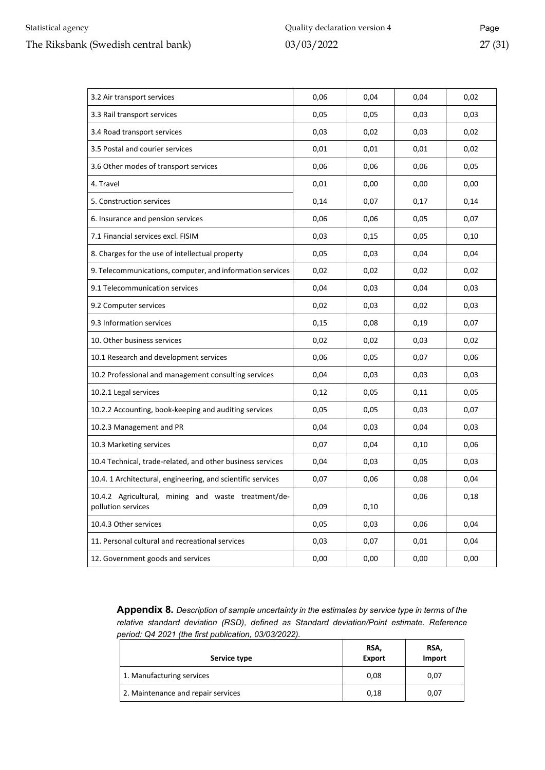| 3.2 Air transport services                                                | 0,06 | 0,04 | 0,04 | 0,02 |
|---------------------------------------------------------------------------|------|------|------|------|
| 3.3 Rail transport services                                               | 0,05 | 0,05 | 0,03 | 0,03 |
| 3.4 Road transport services                                               | 0,03 | 0,02 | 0,03 | 0,02 |
| 3.5 Postal and courier services                                           | 0,01 | 0,01 | 0,01 | 0,02 |
| 3.6 Other modes of transport services                                     | 0,06 | 0,06 | 0,06 | 0,05 |
| 4. Travel                                                                 | 0,01 | 0,00 | 0,00 | 0,00 |
| 5. Construction services                                                  | 0,14 | 0,07 | 0,17 | 0,14 |
| 6. Insurance and pension services                                         | 0,06 | 0,06 | 0,05 | 0,07 |
| 7.1 Financial services excl. FISIM                                        | 0,03 | 0,15 | 0,05 | 0,10 |
| 8. Charges for the use of intellectual property                           | 0,05 | 0,03 | 0,04 | 0,04 |
| 9. Telecommunications, computer, and information services                 | 0,02 | 0,02 | 0,02 | 0,02 |
| 9.1 Telecommunication services                                            | 0,04 | 0,03 | 0,04 | 0,03 |
| 9.2 Computer services                                                     | 0,02 | 0,03 | 0,02 | 0,03 |
| 9.3 Information services                                                  | 0,15 | 0,08 | 0,19 | 0,07 |
| 10. Other business services                                               | 0,02 | 0,02 | 0,03 | 0,02 |
| 10.1 Research and development services                                    | 0,06 | 0,05 | 0,07 | 0,06 |
| 10.2 Professional and management consulting services                      | 0,04 | 0,03 | 0,03 | 0,03 |
| 10.2.1 Legal services                                                     | 0,12 | 0,05 | 0,11 | 0,05 |
| 10.2.2 Accounting, book-keeping and auditing services                     | 0,05 | 0,05 | 0,03 | 0,07 |
| 10.2.3 Management and PR                                                  | 0,04 | 0,03 | 0,04 | 0,03 |
| 10.3 Marketing services                                                   | 0,07 | 0,04 | 0,10 | 0,06 |
| 10.4 Technical, trade-related, and other business services                | 0,04 | 0,03 | 0,05 | 0,03 |
| 10.4. 1 Architectural, engineering, and scientific services               | 0,07 | 0,06 | 0,08 | 0,04 |
| 10.4.2 Agricultural, mining and waste treatment/de-<br>pollution services | 0,09 | 0,10 | 0,06 | 0,18 |
| 10.4.3 Other services                                                     | 0,05 | 0,03 | 0,06 | 0,04 |
| 11. Personal cultural and recreational services                           | 0,03 | 0,07 | 0,01 | 0,04 |
| 12. Government goods and services                                         | 0,00 | 0,00 | 0,00 | 0,00 |

<span id="page-26-0"></span>**Appendix 8.** *Description of sample uncertainty in the estimates by service type in terms of the relative standard deviation (RSD), defined as Standard deviation/Point estimate. Reference period: Q4 2021 (the first publication, 03/03/2022).* 

| Service type                       | RSA,<br><b>Export</b> | RSA,<br>Import |
|------------------------------------|-----------------------|----------------|
| 1. Manufacturing services          | 0,08                  | 0,07           |
| 2. Maintenance and repair services | 0,18                  | 0,07           |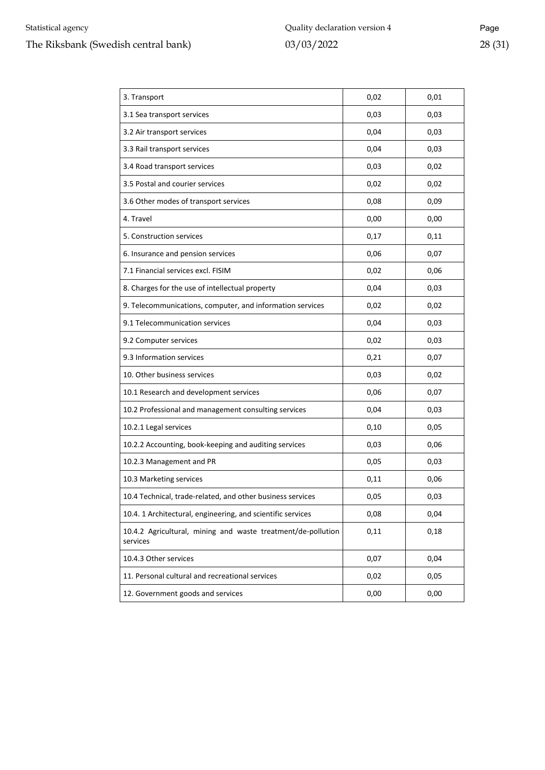| 3. Transport                                                             | 0,02 | 0,01 |
|--------------------------------------------------------------------------|------|------|
| 3.1 Sea transport services                                               | 0,03 | 0,03 |
| 3.2 Air transport services                                               | 0,04 | 0,03 |
| 3.3 Rail transport services                                              | 0,04 | 0,03 |
| 3.4 Road transport services                                              | 0,03 | 0,02 |
| 3.5 Postal and courier services                                          | 0,02 | 0,02 |
| 3.6 Other modes of transport services                                    | 0,08 | 0,09 |
| 4. Travel                                                                | 0,00 | 0,00 |
| 5. Construction services                                                 | 0,17 | 0,11 |
| 6. Insurance and pension services                                        | 0,06 | 0,07 |
| 7.1 Financial services excl. FISIM                                       | 0,02 | 0,06 |
| 8. Charges for the use of intellectual property                          | 0,04 | 0,03 |
| 9. Telecommunications, computer, and information services                | 0,02 | 0,02 |
| 9.1 Telecommunication services                                           | 0,04 | 0,03 |
| 9.2 Computer services                                                    | 0,02 | 0,03 |
| 9.3 Information services                                                 | 0,21 | 0,07 |
| 10. Other business services                                              | 0,03 | 0,02 |
| 10.1 Research and development services                                   | 0,06 | 0,07 |
| 10.2 Professional and management consulting services                     | 0,04 | 0,03 |
| 10.2.1 Legal services                                                    | 0,10 | 0,05 |
| 10.2.2 Accounting, book-keeping and auditing services                    | 0,03 | 0,06 |
| 10.2.3 Management and PR                                                 | 0,05 | 0,03 |
| 10.3 Marketing services                                                  | 0,11 | 0,06 |
| 10.4 Technical, trade-related, and other business services               | 0,05 | 0,03 |
| 10.4. 1 Architectural, engineering, and scientific services              | 0,08 | 0,04 |
| 10.4.2 Agricultural, mining and waste treatment/de-pollution<br>services | 0,11 | 0,18 |
| 10.4.3 Other services                                                    | 0,07 | 0,04 |
| 11. Personal cultural and recreational services                          | 0,02 | 0,05 |
| 12. Government goods and services                                        | 0,00 | 0,00 |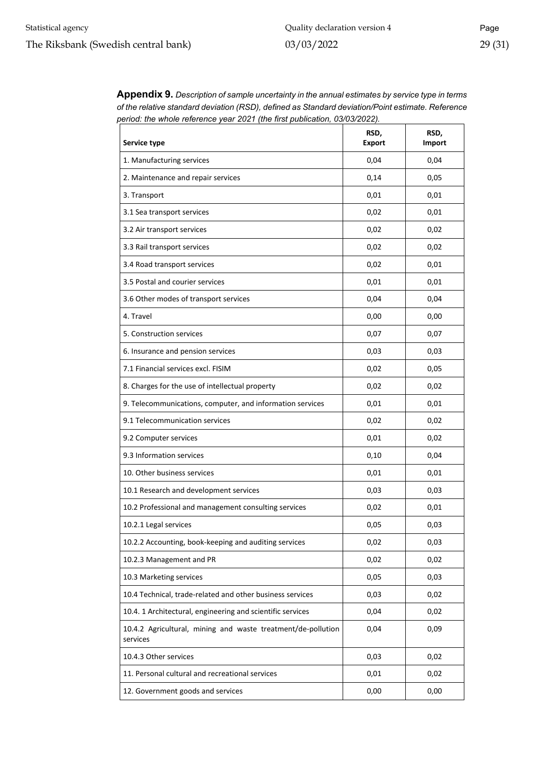| Service type                                                             | RSD,<br><b>Export</b> | RSD,<br>Import |
|--------------------------------------------------------------------------|-----------------------|----------------|
| 1. Manufacturing services                                                | 0,04                  | 0,04           |
| 2. Maintenance and repair services                                       | 0,14                  | 0,05           |
| 3. Transport                                                             | 0,01                  | 0,01           |
| 3.1 Sea transport services                                               | 0,02                  | 0,01           |
| 3.2 Air transport services                                               | 0,02                  | 0,02           |
| 3.3 Rail transport services                                              | 0,02                  | 0,02           |
| 3.4 Road transport services                                              | 0,02                  | 0,01           |
| 3.5 Postal and courier services                                          | 0,01                  | 0,01           |
| 3.6 Other modes of transport services                                    | 0,04                  | 0,04           |
| 4. Travel                                                                | 0,00                  | 0,00           |
| 5. Construction services                                                 | 0,07                  | 0,07           |
| 6. Insurance and pension services                                        | 0,03                  | 0,03           |
| 7.1 Financial services excl. FISIM                                       | 0,02                  | 0,05           |
| 8. Charges for the use of intellectual property                          | 0,02                  | 0,02           |
| 9. Telecommunications, computer, and information services                | 0,01                  | 0,01           |
| 9.1 Telecommunication services                                           | 0,02                  | 0,02           |
| 9.2 Computer services                                                    | 0,01                  | 0,02           |
| 9.3 Information services                                                 | 0,10                  | 0,04           |
| 10. Other business services                                              | 0,01                  | 0,01           |
| 10.1 Research and development services                                   | 0,03                  | 0,03           |
| 10.2 Professional and management consulting services                     | 0,02                  | 0,01           |
| 10.2.1 Legal services                                                    | 0,05                  | 0,03           |
| 10.2.2 Accounting, book-keeping and auditing services                    | 0,02                  | 0,03           |
| 10.2.3 Management and PR                                                 | 0,02                  | 0,02           |
| 10.3 Marketing services                                                  | 0,05                  | 0,03           |
| 10.4 Technical, trade-related and other business services                | 0,03                  | 0,02           |
| 10.4. 1 Architectural, engineering and scientific services               | 0,04                  | 0,02           |
| 10.4.2 Agricultural, mining and waste treatment/de-pollution<br>services | 0,04                  | 0,09           |
| 10.4.3 Other services                                                    | 0,03                  | 0,02           |
| 11. Personal cultural and recreational services                          | 0,01                  | 0,02           |
| 12. Government goods and services                                        | 0,00                  | 0,00           |

<span id="page-28-0"></span>**Appendix 9.** *Description of sample uncertainty in the annual estimates by service type in terms of the relative standard deviation (RSD), defined as Standard deviation/Point estimate. Reference period: the whole reference year 2021 (the first publication, 03/03/2022).*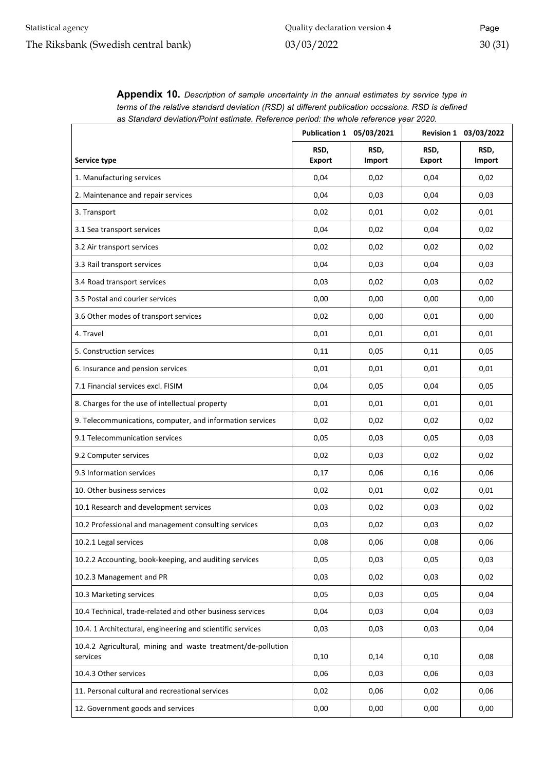|                                                                          | Publication 1 05/03/2021 |                |                       | Revision 1 03/03/2022 |
|--------------------------------------------------------------------------|--------------------------|----------------|-----------------------|-----------------------|
| Service type                                                             | RSD,<br><b>Export</b>    | RSD,<br>Import | RSD,<br><b>Export</b> | RSD,<br>Import        |
| 1. Manufacturing services                                                | 0,04                     | 0,02           | 0,04                  | 0,02                  |
| 2. Maintenance and repair services                                       | 0,04                     | 0,03           | 0,04                  | 0,03                  |
| 3. Transport                                                             | 0,02                     | 0,01           | 0,02                  | 0,01                  |
| 3.1 Sea transport services                                               | 0,04                     | 0,02           | 0,04                  | 0,02                  |
| 3.2 Air transport services                                               | 0,02                     | 0,02           | 0,02                  | 0,02                  |
| 3.3 Rail transport services                                              | 0,04                     | 0,03           | 0,04                  | 0,03                  |
| 3.4 Road transport services                                              | 0,03                     | 0,02           | 0,03                  | 0,02                  |
| 3.5 Postal and courier services                                          | 0,00                     | 0,00           | 0,00                  | 0,00                  |
| 3.6 Other modes of transport services                                    | 0,02                     | 0,00           | 0,01                  | 0,00                  |
| 4. Travel                                                                | 0,01                     | 0,01           | 0,01                  | 0,01                  |
| 5. Construction services                                                 | 0,11                     | 0,05           | 0,11                  | 0,05                  |
| 6. Insurance and pension services                                        | 0,01                     | 0,01           | 0,01                  | 0,01                  |
| 7.1 Financial services excl. FISIM                                       | 0,04                     | 0,05           | 0,04                  | 0,05                  |
| 8. Charges for the use of intellectual property                          | 0,01                     | 0,01           | 0,01                  | 0,01                  |
| 9. Telecommunications, computer, and information services                | 0,02                     | 0,02           | 0,02                  | 0,02                  |
| 9.1 Telecommunication services                                           | 0,05                     | 0,03           | 0,05                  | 0,03                  |
| 9.2 Computer services                                                    | 0,02                     | 0,03           | 0,02                  | 0,02                  |
| 9.3 Information services                                                 | 0,17                     | 0,06           | 0,16                  | 0,06                  |
| 10. Other business services                                              | 0,02                     | 0,01           | 0,02                  | 0,01                  |
| 10.1 Research and development services                                   | 0,03                     | 0,02           | 0,03                  | 0,02                  |
| 10.2 Professional and management consulting services                     | 0,03                     | 0,02           | 0,03                  | 0,02                  |
| 10.2.1 Legal services                                                    | 0,08                     | 0,06           | 0,08                  | 0,06                  |
| 10.2.2 Accounting, book-keeping, and auditing services                   | 0,05                     | 0,03           | 0,05                  | 0,03                  |
| 10.2.3 Management and PR                                                 | 0,03                     | 0,02           | 0,03                  | 0,02                  |
| 10.3 Marketing services                                                  | 0,05                     | 0,03           | 0,05                  | 0,04                  |
| 10.4 Technical, trade-related and other business services                | 0,04                     | 0,03           | 0,04                  | 0,03                  |
| 10.4. 1 Architectural, engineering and scientific services               | 0,03                     | 0,03           | 0,03                  | 0,04                  |
| 10.4.2 Agricultural, mining and waste treatment/de-pollution<br>services | 0,10                     | 0,14           | 0,10                  | 0,08                  |
| 10.4.3 Other services                                                    | 0,06                     | 0,03           | 0,06                  | 0,03                  |
| 11. Personal cultural and recreational services                          | 0,02                     | 0,06           | 0,02                  | 0,06                  |
| 12. Government goods and services                                        | 0,00                     | 0,00           | 0,00                  | 0,00                  |

<span id="page-29-0"></span>**Appendix 10.** *Description of sample uncertainty in the annual estimates by service type in terms of the relative standard deviation (RSD) at different publication occasions. RSD is defined as Standard deviation/Point estimate. Reference period: the whole reference year 2020.*